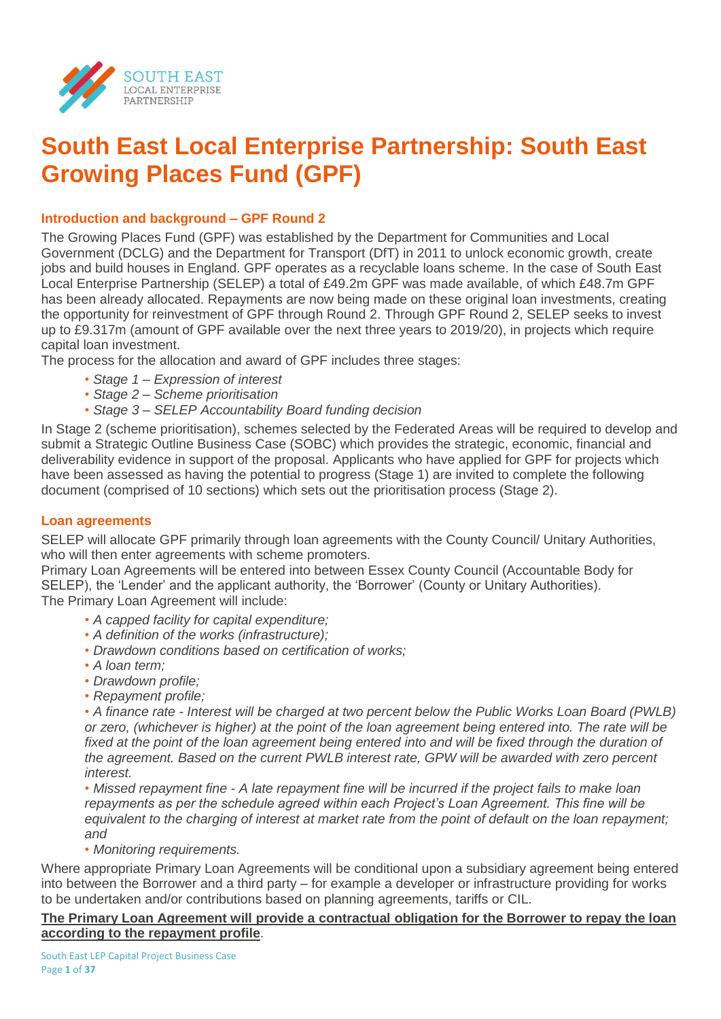

# **South East Local Enterprise Partnership: South East Growing Places Fund (GPF)**

## **Introduction and background – GPF Round 2**

The Growing Places Fund (GPF) was established by the Department for Communities and Local Government (DCLG) and the Department for Transport (DfT) in 2011 to unlock economic growth, create jobs and build houses in England. GPF operates as a recyclable loans scheme. In the case of South East Local Enterprise Partnership (SELEP) a total of £49.2m GPF was made available, of which £48.7m GPF has been already allocated. Repayments are now being made on these original loan investments, creating the opportunity for reinvestment of GPF through Round 2. Through GPF Round 2, SELEP seeks to invest up to £9.317m (amount of GPF available over the next three years to 2019/20), in projects which require capital loan investment.

The process for the allocation and award of GPF includes three stages:

- *Stage 1 – Expression of interest*
- *• Stage 2 – Scheme prioritisation*
- *• Stage 3 – SELEP Accountability Board funding decision*

In Stage 2 (scheme prioritisation), schemes selected by the Federated Areas will be required to develop and submit a Strategic Outline Business Case (SOBC) which provides the strategic, economic, financial and deliverability evidence in support of the proposal. Applicants who have applied for GPF for projects which have been assessed as having the potential to progress (Stage 1) are invited to complete the following document (comprised of 10 sections) which sets out the prioritisation process (Stage 2).

## **Loan agreements**

SELEP will allocate GPF primarily through loan agreements with the County Council/ Unitary Authorities, who will then enter agreements with scheme promoters.

Primary Loan Agreements will be entered into between Essex County Council (Accountable Body for SELEP), the 'Lender' and the applicant authority, the 'Borrower' (County or Unitary Authorities). The Primary Loan Agreement will include:

- *• A capped facility for capital expenditure;*
- *• A definition of the works (infrastructure);*
- *• Drawdown conditions based on certification of works;*
- *• A loan term;*
- *• Drawdown profile;*
- *• Repayment profile;*

*• A finance rate - Interest will be charged at two percent below the Public Works Loan Board (PWLB) or zero, (whichever is higher) at the point of the loan agreement being entered into. The rate will be*  fixed at the point of the loan agreement being entered into and will be fixed through the duration of *the agreement. Based on the current PWLB interest rate, GPW will be awarded with zero percent interest.* 

*• Missed repayment fine - A late repayment fine will be incurred if the project fails to make loan repayments as per the schedule agreed within each Project's Loan Agreement. This fine will be equivalent to the charging of interest at market rate from the point of default on the loan repayment; and*

*• Monitoring requirements.*

Where appropriate Primary Loan Agreements will be conditional upon a subsidiary agreement being entered into between the Borrower and a third party – for example a developer or infrastructure providing for works to be undertaken and/or contributions based on planning agreements, tariffs or CIL.

## **The Primary Loan Agreement will provide a contractual obligation for the Borrower to repay the loan according to the repayment profile**.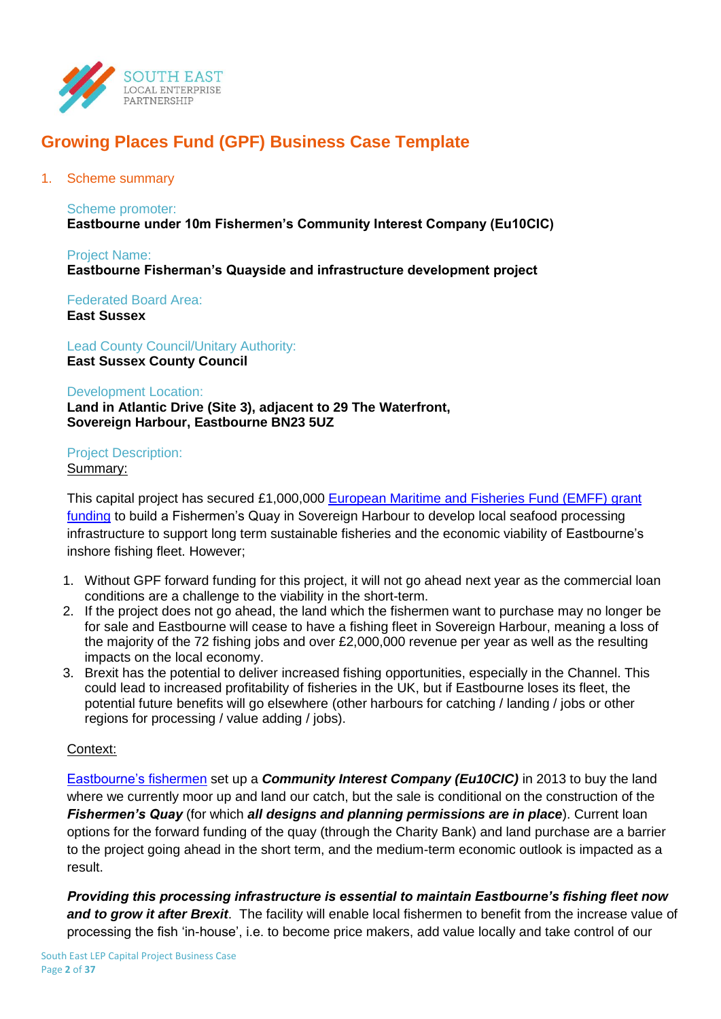

## **Growing Places Fund (GPF) Business Case Template**

### 1. Scheme summary

## Scheme promoter: **Eastbourne under 10m Fishermen's Community Interest Company (Eu10CIC)**

Project Name: **Eastbourne Fisherman's Quayside and infrastructure development project**

Federated Board Area: **East Sussex** 

Lead County Council/Unitary Authority: **East Sussex County Council** 

#### Development Location:

**Land in Atlantic Drive (Site 3), adjacent to 29 The Waterfront, Sovereign Harbour, Eastbourne BN23 5UZ**

# Project Description:

## Summary:

This capital project has secured £1,000,000 [European Maritime and Fisheries Fund \(EMFF\)](https://www.gov.uk/guidance/european-maritime-and-fisheries-fund-emff-before-you-apply) grant [funding](https://www.gov.uk/guidance/european-maritime-and-fisheries-fund-emff-before-you-apply) to build a Fishermen's Quay in Sovereign Harbour to develop local seafood processing infrastructure to support long term sustainable fisheries and the economic viability of Eastbourne's inshore fishing fleet. However;

- 1. Without GPF forward funding for this project, it will not go ahead next year as the commercial loan conditions are a challenge to the viability in the short-term.
- 2. If the project does not go ahead, the land which the fishermen want to purchase may no longer be for sale and Eastbourne will cease to have a fishing fleet in Sovereign Harbour, meaning a loss of the majority of the 72 fishing jobs and over £2,000,000 revenue per year as well as the resulting impacts on the local economy.
- 3. Brexit has the potential to deliver increased fishing opportunities, especially in the Channel. This could lead to increased profitability of fisheries in the UK, but if Eastbourne loses its fleet, the potential future benefits will go elsewhere (other harbours for catching / landing / jobs or other regions for processing / value adding / jobs).

## Context:

[Eastbourne's fishermen](http://eastbournefishermen.co.uk/index.html) set up a *Community Interest Company (Eu10CIC)* in 2013 to buy the land where we currently moor up and land our catch, but the sale is conditional on the construction of the *Fishermen's Quay* (for which *all designs and planning permissions are in place*). Current loan options for the forward funding of the quay (through the Charity Bank) and land purchase are a barrier to the project going ahead in the short term, and the medium-term economic outlook is impacted as a result.

*Providing this processing infrastructure is essential to maintain Eastbourne's fishing fleet now and to grow it after Brexit*. The facility will enable local fishermen to benefit from the increase value of processing the fish 'in-house', i.e. to become price makers, add value locally and take control of our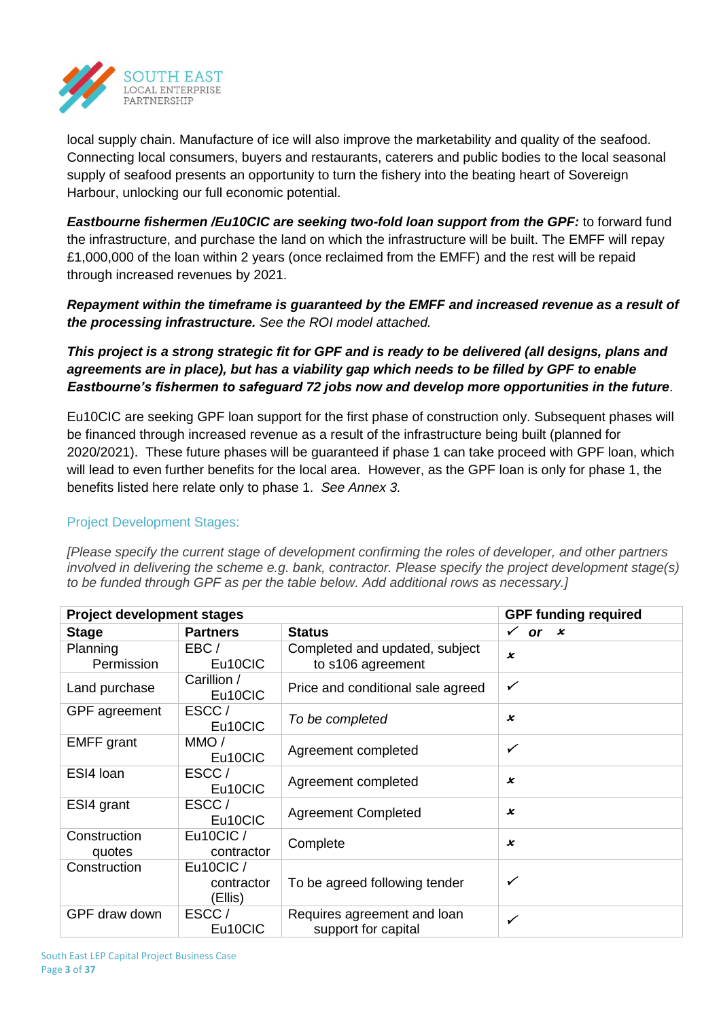

local supply chain. Manufacture of ice will also improve the marketability and quality of the seafood. Connecting local consumers, buyers and restaurants, caterers and public bodies to the local seasonal supply of seafood presents an opportunity to turn the fishery into the beating heart of Sovereign Harbour, unlocking our full economic potential.

*Eastbourne fishermen /Eu10CIC are seeking two-fold loan support from the GPF:* to forward fund the infrastructure, and purchase the land on which the infrastructure will be built. The EMFF will repay £1,000,000 of the loan within 2 years (once reclaimed from the EMFF) and the rest will be repaid through increased revenues by 2021.

*Repayment within the timeframe is guaranteed by the EMFF and increased revenue as a result of the processing infrastructure. See the ROI model attached.*

*This project is a strong strategic fit for GPF and is ready to be delivered (all designs, plans and agreements are in place), but has a viability gap which needs to be filled by GPF to enable Eastbourne's fishermen to safeguard 72 jobs now and develop more opportunities in the future*.

Eu10CIC are seeking GPF loan support for the first phase of construction only. Subsequent phases will be financed through increased revenue as a result of the infrastructure being built (planned for 2020/2021). These future phases will be guaranteed if phase 1 can take proceed with GPF loan, which will lead to even further benefits for the local area. However, as the GPF loan is only for phase 1, the benefits listed here relate only to phase 1. *See Annex 3.*

## Project Development Stages:

*[Please specify the current stage of development confirming the roles of developer, and other partners involved in delivering the scheme e.g. bank, contractor. Please specify the project development stage(s) to be funded through GPF as per the table below. Add additional rows as necessary.]*

| <b>Project development stages</b> | <b>GPF funding required</b>       |                                                     |                           |
|-----------------------------------|-----------------------------------|-----------------------------------------------------|---------------------------|
| <b>Stage</b>                      | <b>Partners</b>                   | <b>Status</b>                                       | $\checkmark$<br>or $x$    |
| Planning<br>Permission            | EBC/<br>Eu10CIC                   | Completed and updated, subject<br>to s106 agreement | $\boldsymbol{\mathsf{x}}$ |
| Land purchase                     | Carillion /<br>Eu10CIC            | Price and conditional sale agreed                   | $\checkmark$              |
| GPF agreement                     | ESCC/<br>Eu10CIC                  | To be completed                                     | $\boldsymbol{\varkappa}$  |
| <b>EMFF</b> grant                 | $MMO$ /<br>Eu10CIC                | Agreement completed                                 | ✓                         |
| ESI4 Ioan                         | ESCC/<br>Eu10CIC                  | Agreement completed                                 | $\boldsymbol{\varkappa}$  |
| ESI4 grant                        | ESCC/<br>Eu10CIC                  | <b>Agreement Completed</b>                          | $\boldsymbol{\mathsf{x}}$ |
| Construction<br>quotes            | Eu10CIC/<br>contractor            | Complete                                            | x                         |
| Construction                      | Eu10CIC/<br>contractor<br>(Ellis) | To be agreed following tender                       | ✓                         |
| GPF draw down                     | ESCC/<br>Eu10CIC                  | Requires agreement and loan<br>support for capital  | $\checkmark$              |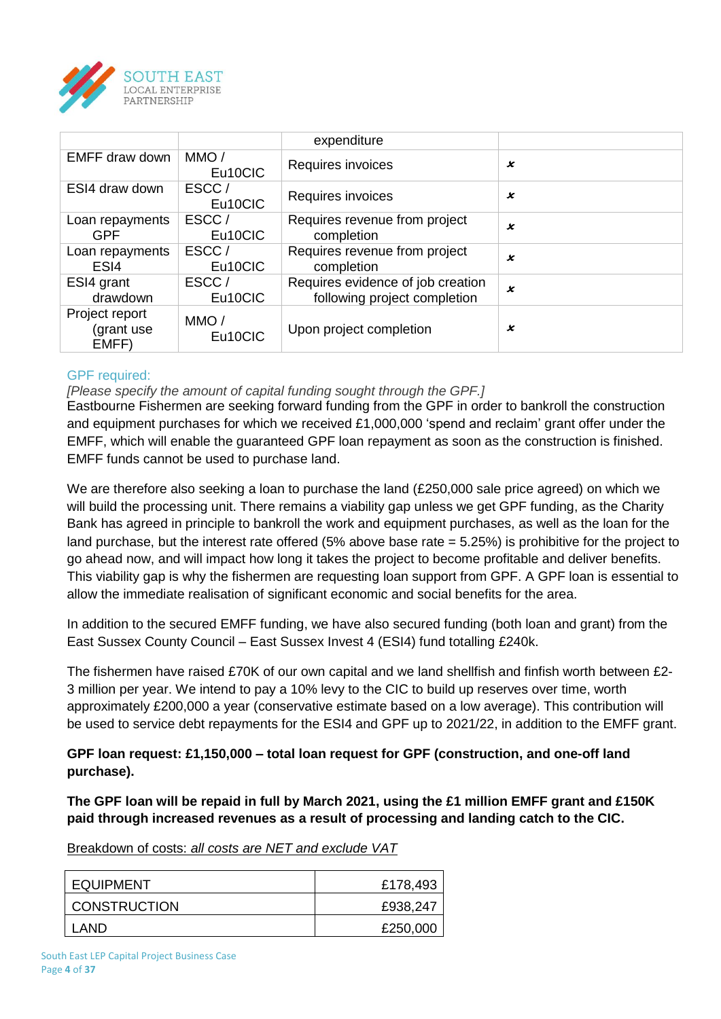

|                                       |                  | expenditure                                                       |   |
|---------------------------------------|------------------|-------------------------------------------------------------------|---|
| EMFF draw down                        | MMO/<br>Eu10CIC  | Requires invoices                                                 | x |
| ESI4 draw down                        | ESCC/<br>Eu10CIC | Requires invoices                                                 | x |
| Loan repayments<br><b>GPF</b>         | ESCC/<br>Eu10CIC | Requires revenue from project<br>completion                       | x |
| Loan repayments<br>ES <sub>I4</sub>   | ESCC/<br>Eu10CIC | Requires revenue from project<br>completion                       | x |
| ESI4 grant<br>drawdown                | ESCC/<br>Eu10CIC | Requires evidence of job creation<br>following project completion | x |
| Project report<br>(grant use<br>EMFF) | MMO/<br>Eu10CIC  | Upon project completion                                           | x |

## GPF required:

## *[Please specify the amount of capital funding sought through the GPF.]*

Eastbourne Fishermen are seeking forward funding from the GPF in order to bankroll the construction and equipment purchases for which we received £1,000,000 'spend and reclaim' grant offer under the EMFF, which will enable the guaranteed GPF loan repayment as soon as the construction is finished. EMFF funds cannot be used to purchase land.

We are therefore also seeking a loan to purchase the land (£250,000 sale price agreed) on which we will build the processing unit. There remains a viability gap unless we get GPF funding, as the Charity Bank has agreed in principle to bankroll the work and equipment purchases, as well as the loan for the land purchase, but the interest rate offered (5% above base rate = 5.25%) is prohibitive for the project to go ahead now, and will impact how long it takes the project to become profitable and deliver benefits. This viability gap is why the fishermen are requesting loan support from GPF. A GPF loan is essential to allow the immediate realisation of significant economic and social benefits for the area.

In addition to the secured EMFF funding, we have also secured funding (both loan and grant) from the East Sussex County Council – East Sussex Invest 4 (ESI4) fund totalling £240k.

The fishermen have raised £70K of our own capital and we land shellfish and finfish worth between £2- 3 million per year. We intend to pay a 10% levy to the CIC to build up reserves over time, worth approximately £200,000 a year (conservative estimate based on a low average). This contribution will be used to service debt repayments for the ESI4 and GPF up to 2021/22, in addition to the EMFF grant.

## **GPF loan request: £1,150,000 – total loan request for GPF (construction, and one-off land purchase).**

**The GPF loan will be repaid in full by March 2021, using the £1 million EMFF grant and £150K paid through increased revenues as a result of processing and landing catch to the CIC.**

Breakdown of costs: *all costs are NET and exclude VAT*

| <b>EQUIPMENT</b>    | £178,493 |
|---------------------|----------|
| <b>CONSTRUCTION</b> | £938,247 |
| LAND                | £250,000 |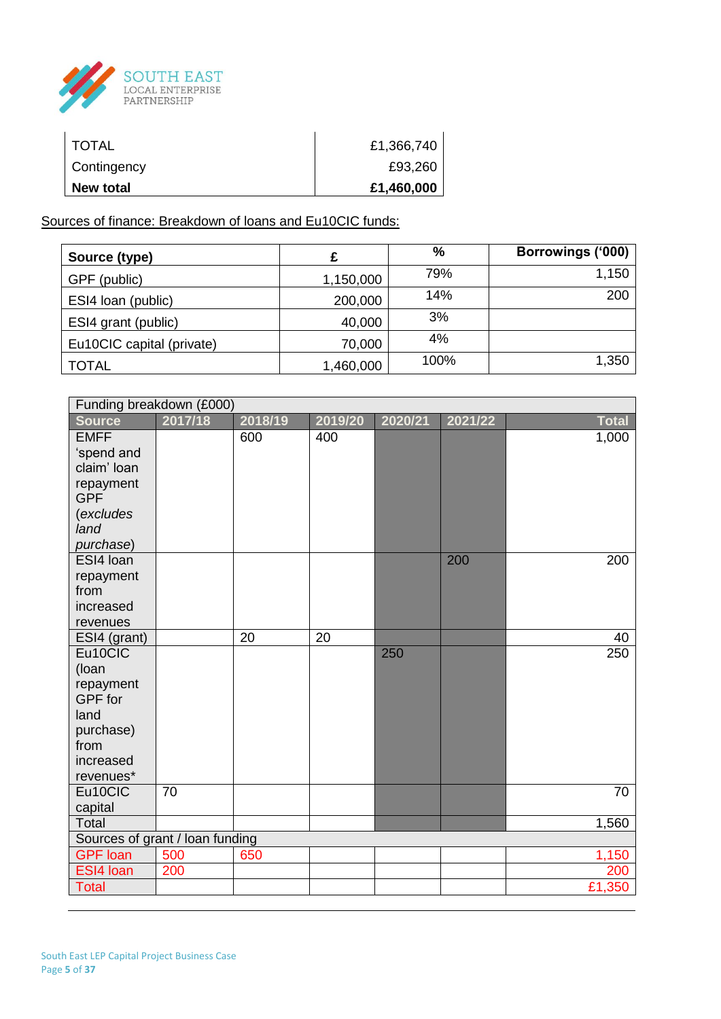

| <b>TOTAL</b> | £1,366,740 |
|--------------|------------|
| Contingency  | £93,260    |
| New total    | £1,460,000 |

Sources of finance: Breakdown of loans and Eu10CIC funds:

| Source (type)             |           | %    | Borrowings ('000) |
|---------------------------|-----------|------|-------------------|
| GPF (public)              | 1,150,000 | 79%  | 1,150             |
| ESI4 loan (public)        | 200,000   | 14%  | 200               |
| ESI4 grant (public)       | 40,000    | 3%   |                   |
| Eu10CIC capital (private) | 70,000    | 4%   |                   |
| TOTAL                     | 1,460,000 | 100% | 1,350             |

| Funding breakdown (£000)        |         |         |         |         |         |              |
|---------------------------------|---------|---------|---------|---------|---------|--------------|
| <b>Source</b>                   | 2017/18 | 2018/19 | 2019/20 | 2020/21 | 2021/22 | <b>Total</b> |
| <b>EMFF</b>                     |         | 600     | 400     |         |         | 1,000        |
| 'spend and                      |         |         |         |         |         |              |
| claim' loan                     |         |         |         |         |         |              |
| repayment                       |         |         |         |         |         |              |
| <b>GPF</b>                      |         |         |         |         |         |              |
| (excludes                       |         |         |         |         |         |              |
| land                            |         |         |         |         |         |              |
| purchase)                       |         |         |         |         |         |              |
| ESI4 Ioan<br>repayment          |         |         |         |         | 200     | 200          |
| from                            |         |         |         |         |         |              |
| increased                       |         |         |         |         |         |              |
| revenues                        |         |         |         |         |         |              |
| ESI4 (grant)                    |         | 20      | 20      |         |         | 40           |
| Eu10CIC                         |         |         |         | 250     |         | 250          |
| (loan                           |         |         |         |         |         |              |
| repayment                       |         |         |         |         |         |              |
| GPF for                         |         |         |         |         |         |              |
| land                            |         |         |         |         |         |              |
| purchase)                       |         |         |         |         |         |              |
| from                            |         |         |         |         |         |              |
| increased                       |         |         |         |         |         |              |
| revenues*                       |         |         |         |         |         |              |
| Eu10CIC                         | 70      |         |         |         |         | 70           |
| capital                         |         |         |         |         |         |              |
| <b>Total</b>                    |         |         |         |         |         | 1,560        |
| Sources of grant / loan funding |         |         |         |         |         |              |
| <b>GPF</b> loan                 | 500     | 650     |         |         |         | 1,150        |
| ESI4 Ioan                       | 200     |         |         |         |         | 200          |
| <b>Total</b>                    |         |         |         |         |         | £1,350       |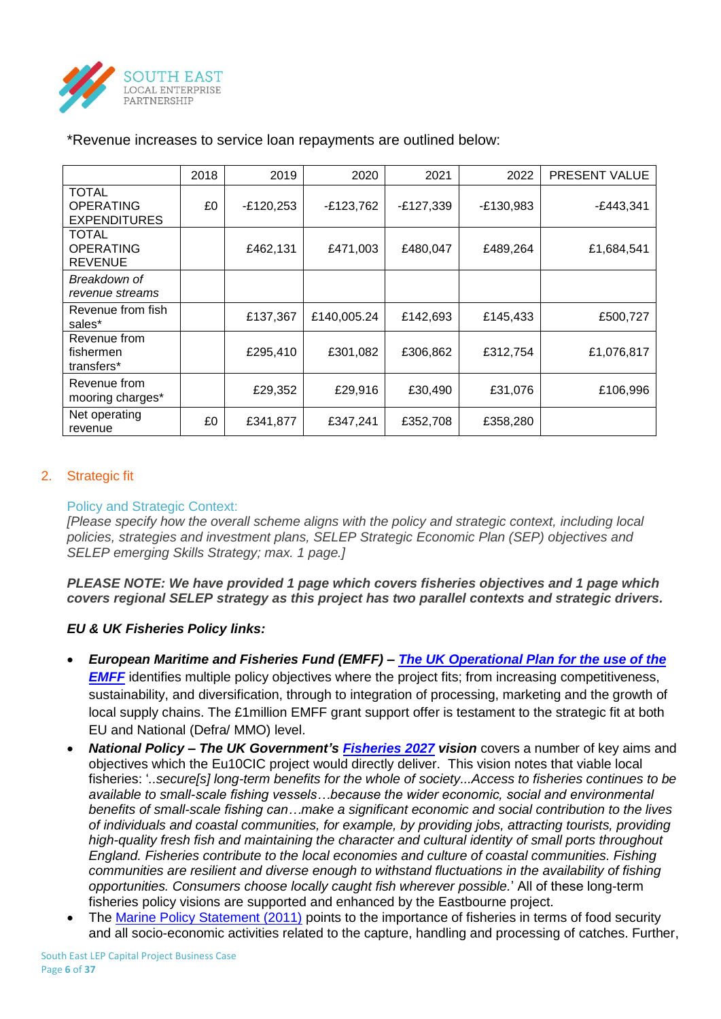

|                                                         | 2018 | 2019        | 2020        | 2021        | 2022        | <b>PRESENT VALUE</b> |
|---------------------------------------------------------|------|-------------|-------------|-------------|-------------|----------------------|
| <b>TOTAL</b><br><b>OPERATING</b><br><b>EXPENDITURES</b> | £0   | $-E120,253$ | -£123,762   | $-E127,339$ | $-E130,983$ | -£443,341            |
| <b>TOTAL</b><br><b>OPERATING</b><br><b>REVENUE</b>      |      | £462,131    | £471,003    | £480,047    | £489,264    | £1,684,541           |
| Breakdown of<br>revenue streams                         |      |             |             |             |             |                      |
| Revenue from fish<br>sales*                             |      | £137,367    | £140,005.24 | £142,693    | £145,433    | £500,727             |
| Revenue from<br>fishermen<br>transfers*                 |      | £295,410    | £301,082    | £306,862    | £312,754    | £1,076,817           |
| Revenue from<br>mooring charges*                        |      | £29,352     | £29,916     | £30,490     | £31,076     | £106,996             |
| Net operating<br>revenue                                | £0   | £341,877    | £347,241    | £352,708    | £358,280    |                      |

## \*Revenue increases to service loan repayments are outlined below:

## 2. Strategic fit

### Policy and Strategic Context:

*[Please specify how the overall scheme aligns with the policy and strategic context, including local policies, strategies and investment plans, SELEP Strategic Economic Plan (SEP) objectives and SELEP emerging Skills Strategy; max. 1 page.]*

*PLEASE NOTE: We have provided 1 page which covers fisheries objectives and 1 page which covers regional SELEP strategy as this project has two parallel contexts and strategic drivers.*

## *EU & UK Fisheries Policy links:*

- *European Maritime and Fisheries Fund (EMFF) – [The UK Operational Plan for the use of the](https://ec.europa.eu/fisheries/sites/fisheries/files/docs/body/op-uk_en.pdf)  [EMFF](https://ec.europa.eu/fisheries/sites/fisheries/files/docs/body/op-uk_en.pdf)* identifies multiple policy objectives where the project fits; from increasing competitiveness, sustainability, and diversification, through to integration of processing, marketing and the growth of local supply chains. The £1million EMFF grant support offer is testament to the strategic fit at both EU and National (Defra/ MMO) level.
- *National Policy – The UK Government's [Fisheries 2027](https://www.gov.uk/government/uploads/system/uploads/attachment_data/file/69320/pb12780-fisheries2027vision-071001.pdf) vision* covers a number of key aims and objectives which the Eu10CIC project would directly deliver. This vision notes that viable local fisheries: '*..secure[s] long-term benefits for the whole of society...Access to fisheries continues to be available to small-scale fishing vessels…because the wider economic, social and environmental benefits of small-scale fishing can…make a significant economic and social contribution to the lives of individuals and coastal communities, for example, by providing jobs, attracting tourists, providing high-quality fresh fish and maintaining the character and cultural identity of small ports throughout England. Fisheries contribute to the local economies and culture of coastal communities. Fishing communities are resilient and diverse enough to withstand fluctuations in the availability of fishing opportunities. Consumers choose locally caught fish wherever possible.*' All of these long-term fisheries policy visions are supported and enhanced by the Eastbourne project.
- The [Marine Policy Statement \(2011\)](https://www.gov.uk/government/uploads/system/uploads/attachment_data/file/69322/pb3654-marine-policy-statement-110316.pdf) points to the importance of fisheries in terms of food security and all socio-economic activities related to the capture, handling and processing of catches. Further,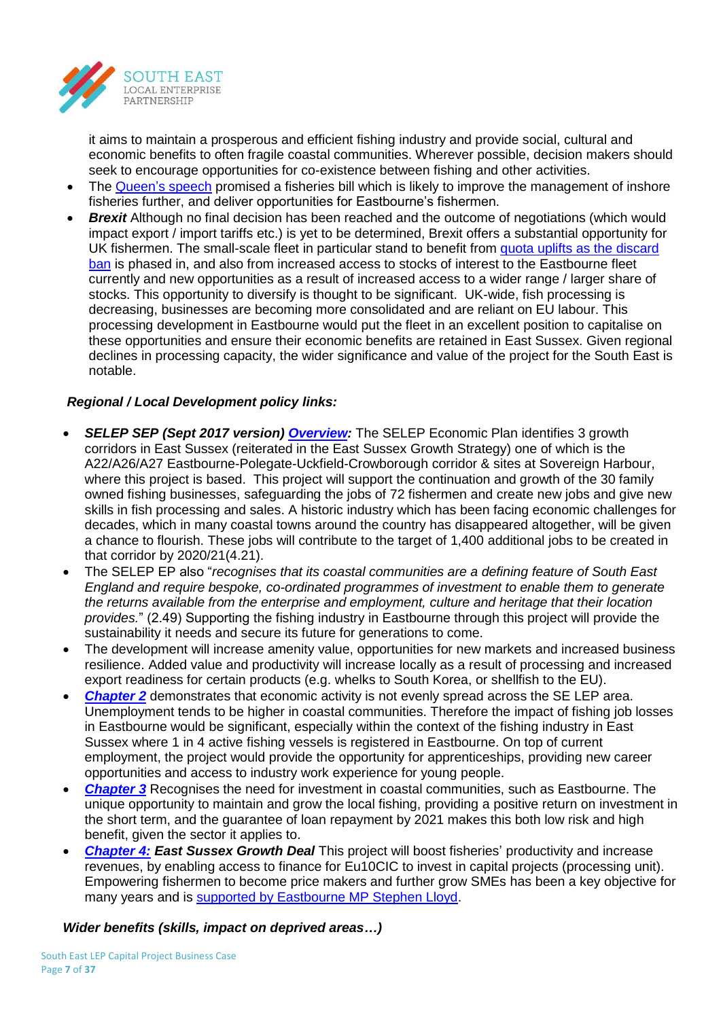

it aims to maintain a prosperous and efficient fishing industry and provide social, cultural and economic benefits to often fragile coastal communities. Wherever possible, decision makers should seek to encourage opportunities for co-existence between fishing and other activities.

- The [Queen's speech](https://www.gov.uk/government/uploads/system/uploads/attachment_data/file/620838/Queens_speech_2017_background_notes.pdf) promised a fisheries bill which is likely to improve the management of inshore fisheries further, and deliver opportunities for Eastbourne's fishermen.
- **Brexit** Although no final decision has been reached and the outcome of negotiations (which would impact export / import tariffs etc.) is yet to be determined, Brexit offers a substantial opportunity for UK fishermen. The small-scale fleet in particular stand to benefit from [quota uplifts as the discard](https://www.gov.uk/government/news/uk-fishermen-see-next-phase-of-the-discard-ban-take-effect)  [ban](https://www.gov.uk/government/news/uk-fishermen-see-next-phase-of-the-discard-ban-take-effect) is phased in, and also from increased access to stocks of interest to the Eastbourne fleet currently and new opportunities as a result of increased access to a wider range / larger share of stocks. This opportunity to diversify is thought to be significant. UK-wide, fish processing is decreasing, businesses are becoming more consolidated and are reliant on EU labour. This processing development in Eastbourne would put the fleet in an excellent position to capitalise on these opportunities and ensure their economic benefits are retained in East Sussex. Given regional declines in processing capacity, the wider significance and value of the project for the South East is notable.

## *Regional / Local Development policy links:*

- *SELEP SEP (Sept 2017 version) [Overview:](http://www.southeastlep.com/images/uploads/resources/EAST_SUSSEX_South_East_LEP_-_Growth_Deal_and_Strategic_Economic_Plan_WEB-2.pdf)* The SELEP Economic Plan identifies 3 growth corridors in East Sussex (reiterated in the East Sussex Growth Strategy) one of which is the A22/A26/A27 Eastbourne-Polegate-Uckfield-Crowborough corridor & sites at Sovereign Harbour, where this project is based. This project will support the continuation and growth of the 30 family owned fishing businesses, safeguarding the jobs of 72 fishermen and create new jobs and give new skills in fish processing and sales. A historic industry which has been facing economic challenges for decades, which in many coastal towns around the country has disappeared altogether, will be given a chance to flourish. These jobs will contribute to the target of 1,400 additional jobs to be created in that corridor by 2020/21(4.21).
- The SELEP EP also "*recognises that its coastal communities are a defining feature of South East England and require bespoke, co-ordinated programmes of investment to enable them to generate the returns available from the enterprise and employment, culture and heritage that their location provides.*" (2.49) Supporting the fishing industry in Eastbourne through this project will provide the sustainability it needs and secure its future for generations to come.
- The development will increase amenity value, opportunities for new markets and increased business resilience. Added value and productivity will increase locally as a result of processing and increased export readiness for certain products (e.g. whelks to South Korea, or shellfish to the EU).
- *[Chapter 2](http://www.southeastlep.com/images/uploads/resources/SECTION_2_South_East_LEP_-_Growth_Deal_and_Strategic_Economic_Plan_WEB-2.pdf)* demonstrates that economic activity is not evenly spread across the SE LEP area. Unemployment tends to be higher in coastal communities. Therefore the impact of fishing job losses in Eastbourne would be significant, especially within the context of the fishing industry in East Sussex where 1 in 4 active fishing vessels is registered in Eastbourne. On top of current employment, the project would provide the opportunity for apprenticeships, providing new career opportunities and access to industry work experience for young people.
- **[Chapter 3](http://www.southeastlep.com/images/uploads/resources/SECTION_3_South_East_LEP_-_Growth_Deal_and_Strategic_Economic_Plan_WEB-3.pdf)** Recognises the need for investment in coastal communities, such as Eastbourne. The unique opportunity to maintain and grow the local fishing, providing a positive return on investment in the short term, and the guarantee of loan repayment by 2021 makes this both low risk and high benefit, given the sector it applies to.
- [Chapter 4:](http://www.southeastlep.com/images/uploads/resources/SUMMARY_South_East_LEP_-_Growth_Deal_and_Strategic_Economic_Plan_WEB.pdf) East Sussex Growth Deal This project will boost fisheries' productivity and increase revenues, by enabling access to finance for Eu10CIC to invest in capital projects (processing unit). Empowering fishermen to become price makers and further grow SMEs has been a key objective for many years and is [supported by Eastbourne MP Stephen Lloyd.](http://www.libdemvoice.org/stephen-lloyd-mp-writes-a-better-future-for-our-coastal-communities-and-inshore-waters-43717.html)

## *Wider benefits (skills, impact on deprived areas…)*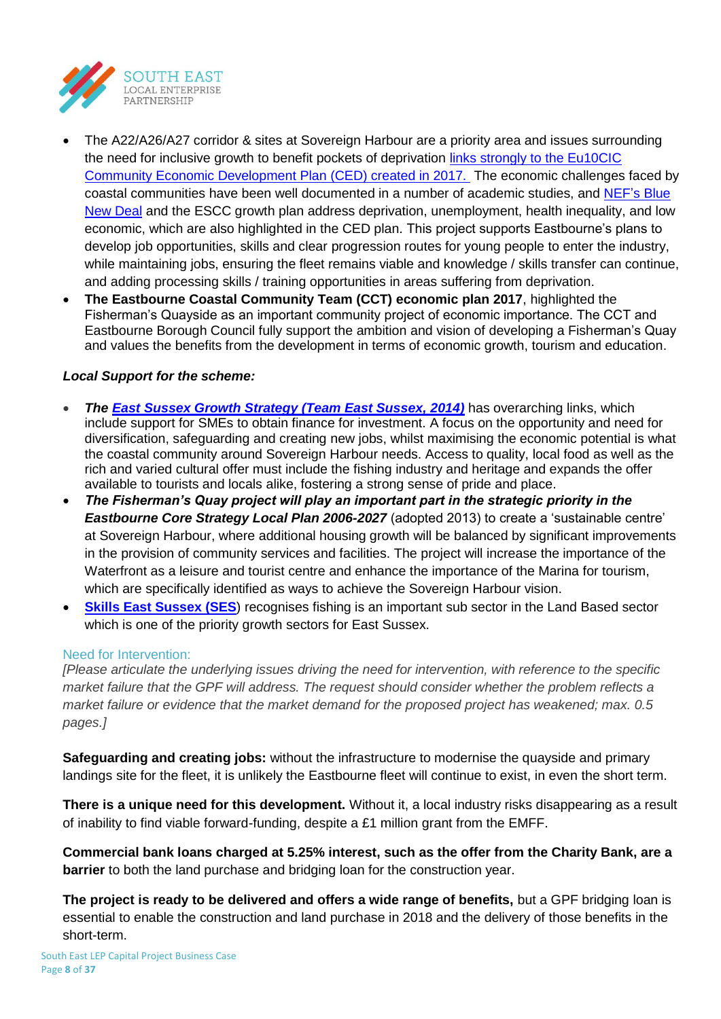

- The A22/A26/A27 corridor & sites at Sovereign Harbour are a priority area and issues surrounding the need for inclusive growth to benefit pockets of deprivation links [strongly to the Eu10CIC](http://eastbournefishermen.co.uk/images/EastbourneFishermenCED_PLAN_FINAL_May2017.pdf)  [Community Economic Development Plan \(CED\) created in 2017.](http://eastbournefishermen.co.uk/images/EastbourneFishermenCED_PLAN_FINAL_May2017.pdf) The economic challenges faced by coastal communities have been well documented in a number of academic studies, and [NEF's Blue](http://neweconomics.org/2015/06/blue-new-deal/)  [New Deal](http://neweconomics.org/2015/06/blue-new-deal/) and the ESCC growth plan address deprivation, unemployment, health inequality, and low economic, which are also highlighted in the CED plan. This project supports Eastbourne's plans to develop job opportunities, skills and clear progression routes for young people to enter the industry, while maintaining jobs, ensuring the fleet remains viable and knowledge / skills transfer can continue, and adding processing skills / training opportunities in areas suffering from deprivation.
- **The Eastbourne Coastal Community Team (CCT) economic plan 2017**, highlighted the Fisherman's Quayside as an important community project of economic importance. The CCT and Eastbourne Borough Council fully support the ambition and vision of developing a Fisherman's Quay and values the benefits from the development in terms of economic growth, tourism and education.

## *Local Support for the scheme:*

- *The [East Sussex Growth Strategy \(Team East Sussex, 2014\)](https://www.eastsussex.gov.uk/media/1802/eastsussexgrowthstrategydec2014.pdf)* has overarching links, which include support for SMEs to obtain finance for investment. A focus on the opportunity and need for diversification, safeguarding and creating new jobs, whilst maximising the economic potential is what the coastal community around Sovereign Harbour needs. Access to quality, local food as well as the rich and varied cultural offer must include the fishing industry and heritage and expands the offer available to tourists and locals alike, fostering a strong sense of pride and place.
- *The Fisherman's Quay project will play an important part in the strategic priority in the Eastbourne Core Strategy Local Plan 2006-2027* (adopted 2013) to create a 'sustainable centre' at Sovereign Harbour, where additional housing growth will be balanced by significant improvements in the provision of community services and facilities. The project will increase the importance of the Waterfront as a leisure and tourist centre and enhance the importance of the Marina for tourism, which are specifically identified as ways to achieve the Sovereign Harbour vision.
- **[Skills East Sussex \(SES](https://www.eastsussex.gov.uk/business/eastsussex/selep/ses/ses/)**) recognises fishing is an important sub sector in the Land Based sector which is one of the priority growth sectors for East Sussex.

## Need for Intervention:

*[Please articulate the underlying issues driving the need for intervention, with reference to the specific market failure that the GPF will address. The request should consider whether the problem reflects a market failure or evidence that the market demand for the proposed project has weakened; max. 0.5 pages.]*

**Safeguarding and creating jobs:** without the infrastructure to modernise the quayside and primary landings site for the fleet, it is unlikely the Eastbourne fleet will continue to exist, in even the short term.

**There is a unique need for this development.** Without it, a local industry risks disappearing as a result of inability to find viable forward-funding, despite a £1 million grant from the EMFF.

**Commercial bank loans charged at 5.25% interest, such as the offer from the Charity Bank, are a barrier** to both the land purchase and bridging loan for the construction year.

**The project is ready to be delivered and offers a wide range of benefits,** but a GPF bridging loan is essential to enable the construction and land purchase in 2018 and the delivery of those benefits in the short-term.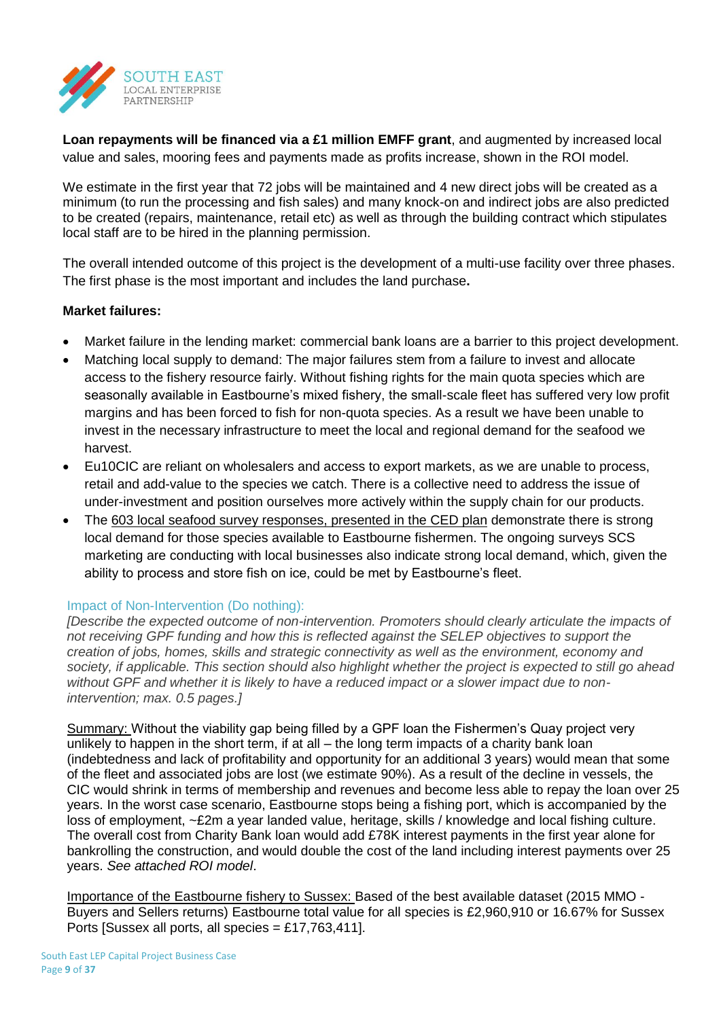

**Loan repayments will be financed via a £1 million EMFF grant**, and augmented by increased local value and sales, mooring fees and payments made as profits increase, shown in the ROI model.

We estimate in the first year that 72 jobs will be maintained and 4 new direct jobs will be created as a minimum (to run the processing and fish sales) and many knock-on and indirect jobs are also predicted to be created (repairs, maintenance, retail etc) as well as through the building contract which stipulates local staff are to be hired in the planning permission.

The overall intended outcome of this project is the development of a multi-use facility over three phases. The first phase is the most important and includes the land purchase**.** 

## **Market failures:**

- Market failure in the lending market: commercial bank loans are a barrier to this project development.
- Matching local supply to demand: The major failures stem from a failure to invest and allocate access to the fishery resource fairly. Without fishing rights for the main quota species which are seasonally available in Eastbourne's mixed fishery, the small-scale fleet has suffered very low profit margins and has been forced to fish for non-quota species. As a result we have been unable to invest in the necessary infrastructure to meet the local and regional demand for the seafood we harvest.
- Eu10CIC are reliant on wholesalers and access to export markets, as we are unable to process, retail and add-value to the species we catch. There is a collective need to address the issue of under-investment and position ourselves more actively within the supply chain for our products.
- The [603 local seafood survey responses, presented in the CED plan](http://eastbournefishermen.co.uk/images/EastbourneFishermenCED_PLAN_FINAL_May2017.pdf) demonstrate there is strong local demand for those species available to Eastbourne fishermen. The ongoing surveys SCS marketing are conducting with local businesses also indicate strong local demand, which, given the ability to process and store fish on ice, could be met by Eastbourne's fleet.

## Impact of Non-Intervention (Do nothing):

*[Describe the expected outcome of non-intervention. Promoters should clearly articulate the impacts of not receiving GPF funding and how this is reflected against the SELEP objectives to support the creation of jobs, homes, skills and strategic connectivity as well as the environment, economy and society, if applicable. This section should also highlight whether the project is expected to still go ahead without GPF and whether it is likely to have a reduced impact or a slower impact due to nonintervention; max. 0.5 pages.]*

Summary: Without the viability gap being filled by a GPF loan the Fishermen's Quay project very unlikely to happen in the short term, if at all – the long term impacts of a charity bank loan (indebtedness and lack of profitability and opportunity for an additional 3 years) would mean that some of the fleet and associated jobs are lost (we estimate 90%). As a result of the decline in vessels, the CIC would shrink in terms of membership and revenues and become less able to repay the loan over 25 years. In the worst case scenario, Eastbourne stops being a fishing port, which is accompanied by the loss of employment, ~£2m a year landed value, heritage, skills / knowledge and local fishing culture. The overall cost from Charity Bank loan would add £78K interest payments in the first year alone for bankrolling the construction, and would double the cost of the land including interest payments over 25 years. *See attached ROI model*.

Importance of the Eastbourne fishery to Sussex: Based of the best available dataset (2015 MMO - Buyers and Sellers returns) Eastbourne total value for all species is £2,960,910 or 16.67% for Sussex Ports [Sussex all ports, all species  $= \pounds 17,763,411$ ].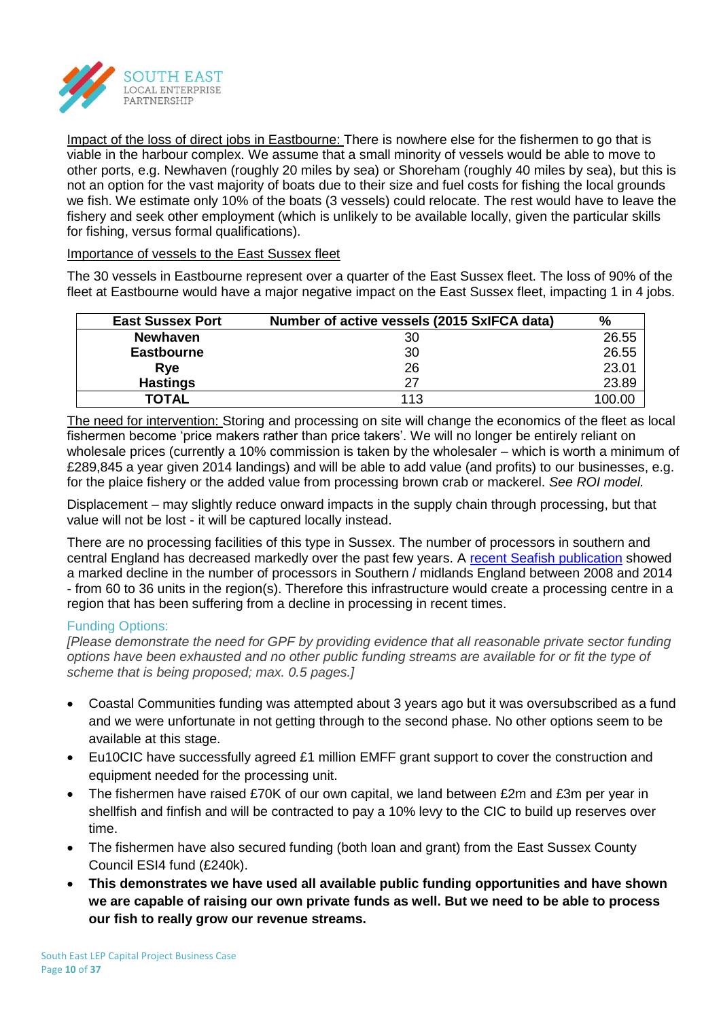

Impact of the loss of direct jobs in Eastbourne: There is nowhere else for the fishermen to go that is viable in the harbour complex. We assume that a small minority of vessels would be able to move to other ports, e.g. Newhaven (roughly 20 miles by sea) or Shoreham (roughly 40 miles by sea), but this is not an option for the vast majority of boats due to their size and fuel costs for fishing the local grounds we fish. We estimate only 10% of the boats (3 vessels) could relocate. The rest would have to leave the fishery and seek other employment (which is unlikely to be available locally, given the particular skills for fishing, versus formal qualifications).

## Importance of vessels to the East Sussex fleet

The 30 vessels in Eastbourne represent over a quarter of the East Sussex fleet. The loss of 90% of the fleet at Eastbourne would have a major negative impact on the East Sussex fleet, impacting 1 in 4 jobs.

| <b>East Sussex Port</b> | Number of active vessels (2015 SxIFCA data) | %      |
|-------------------------|---------------------------------------------|--------|
| <b>Newhaven</b>         | 30                                          | 26.55  |
| <b>Eastbourne</b>       | 30                                          | 26.55  |
| Rye                     | 26                                          | 23.01  |
| <b>Hastings</b>         |                                             | 23.89  |
| <b>TOTAL</b>            | 113                                         | 100.00 |

The need for intervention: Storing and processing on site will change the economics of the fleet as local fishermen become 'price makers rather than price takers'. We will no longer be entirely reliant on wholesale prices (currently a 10% commission is taken by the wholesaler – which is worth a minimum of £289,845 a year given 2014 landings) and will be able to add value (and profits) to our businesses, e.g. for the plaice fishery or the added value from processing brown crab or mackerel. *See ROI model.*

Displacement – may slightly reduce onward impacts in the supply chain through processing, but that value will not be lost - it will be captured locally instead.

There are no processing facilities of this type in Sussex. The number of processors in southern and central England has decreased markedly over the past few years. A [recent Seafish publication](http://www.seafish.org/media/publications/2014_Seafood_Processing_Industry_Report.pdf,) showed a marked decline in the number of processors in Southern / midlands England between 2008 and 2014 - from 60 to 36 units in the region(s). Therefore this infrastructure would create a processing centre in a region that has been suffering from a decline in processing in recent times.

## Funding Options:

*[Please demonstrate the need for GPF by providing evidence that all reasonable private sector funding options have been exhausted and no other public funding streams are available for or fit the type of scheme that is being proposed; max. 0.5 pages.]*

- Coastal Communities funding was attempted about 3 years ago but it was oversubscribed as a fund and we were unfortunate in not getting through to the second phase. No other options seem to be available at this stage.
- Eu10CIC have successfully agreed £1 million EMFF grant support to cover the construction and equipment needed for the processing unit.
- The fishermen have raised £70K of our own capital, we land between £2m and £3m per year in shellfish and finfish and will be contracted to pay a 10% levy to the CIC to build up reserves over time.
- The fishermen have also secured funding (both loan and grant) from the East Sussex County Council ESI4 fund (£240k).
- **This demonstrates we have used all available public funding opportunities and have shown we are capable of raising our own private funds as well. But we need to be able to process our fish to really grow our revenue streams.**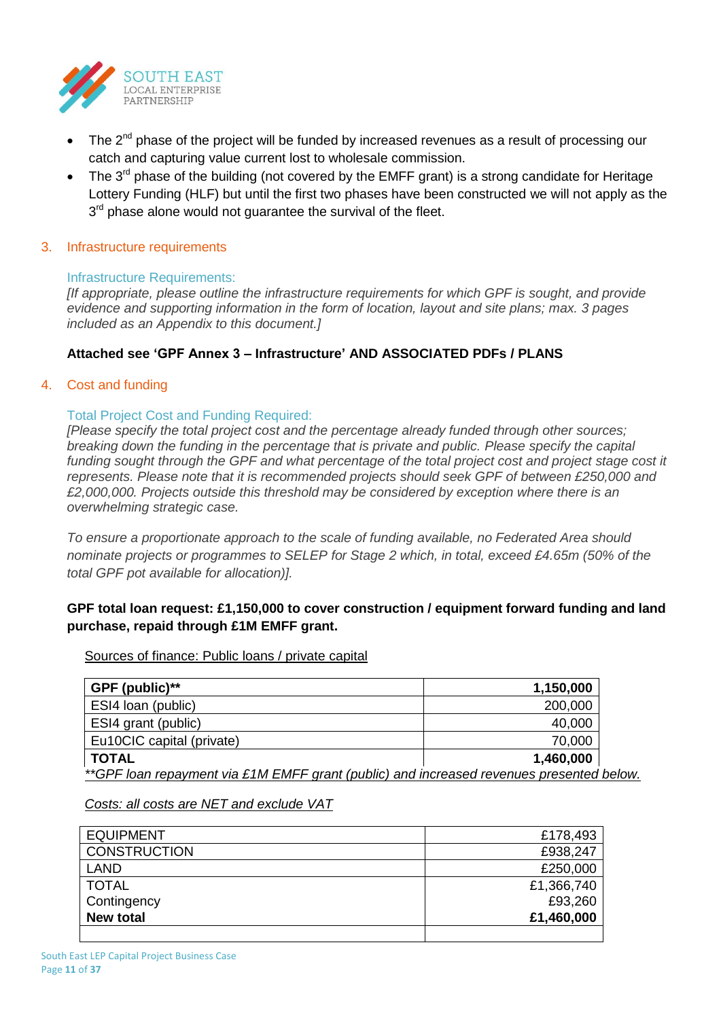

- The  $2^{nd}$  phase of the project will be funded by increased revenues as a result of processing our catch and capturing value current lost to wholesale commission.
- The  $3<sup>rd</sup>$  phase of the building (not covered by the EMFF grant) is a strong candidate for Heritage Lottery Funding (HLF) but until the first two phases have been constructed we will not apply as the  $3<sup>rd</sup>$  phase alone would not guarantee the survival of the fleet.

### 3. Infrastructure requirements

### Infrastructure Requirements:

*[If appropriate, please outline the infrastructure requirements for which GPF is sought, and provide evidence and supporting information in the form of location, layout and site plans; max. 3 pages included as an Appendix to this document.]*

## **Attached see 'GPF Annex 3 – Infrastructure' AND ASSOCIATED PDFs / PLANS**

### 4. Cost and funding

## Total Project Cost and Funding Required:

*[Please specify the total project cost and the percentage already funded through other sources; breaking down the funding in the percentage that is private and public. Please specify the capital*  funding sought through the GPF and what percentage of the total project cost and project stage cost it *represents. Please note that it is recommended projects should seek GPF of between £250,000 and £2,000,000. Projects outside this threshold may be considered by exception where there is an overwhelming strategic case.*

*To ensure a proportionate approach to the scale of funding available, no Federated Area should nominate projects or programmes to SELEP for Stage 2 which, in total, exceed £4.65m (50% of the total GPF pot available for allocation)].*

## **GPF total loan request: £1,150,000 to cover construction / equipment forward funding and land purchase, repaid through £1M EMFF grant.**

Sources of finance: Public loans / private capital

| GPF (public)**                                                                           | 1,150,000 |  |  |  |  |
|------------------------------------------------------------------------------------------|-----------|--|--|--|--|
| ESI4 loan (public)                                                                       | 200,000   |  |  |  |  |
| ESI4 grant (public)                                                                      | 40,000    |  |  |  |  |
| Eu10CIC capital (private)                                                                | 70,000    |  |  |  |  |
| <b>TOTAL</b>                                                                             | 1,460,000 |  |  |  |  |
| **GPF loan repayment via £1M EMFF grant (public) and increased revenues presented below. |           |  |  |  |  |

#### *Costs: all costs are NET and exclude VAT*

| <b>New total</b>    | £1,460,000 |
|---------------------|------------|
| Contingency         | £93,260    |
| <b>TOTAL</b>        | £1,366,740 |
| LAND                | £250,000   |
| <b>CONSTRUCTION</b> | £938,247   |
| <b>EQUIPMENT</b>    | £178,493   |
|                     |            |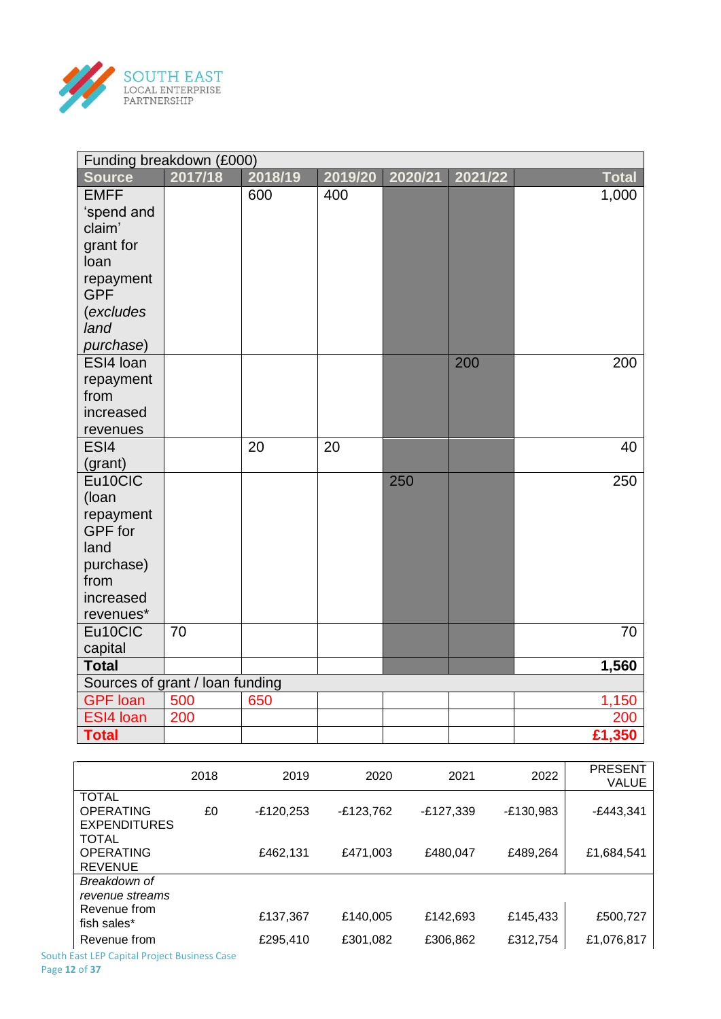

| Funding breakdown (£000)        |         |         |         |         |         |              |
|---------------------------------|---------|---------|---------|---------|---------|--------------|
| <b>Source</b>                   | 2017/18 | 2018/19 | 2019/20 | 2020/21 | 2021/22 | <b>Total</b> |
| <b>EMFF</b>                     |         | 600     | 400     |         |         | 1,000        |
| 'spend and                      |         |         |         |         |         |              |
| claim'                          |         |         |         |         |         |              |
| grant for                       |         |         |         |         |         |              |
| loan                            |         |         |         |         |         |              |
| repayment                       |         |         |         |         |         |              |
| <b>GPF</b>                      |         |         |         |         |         |              |
| (excludes                       |         |         |         |         |         |              |
| land                            |         |         |         |         |         |              |
| purchase)                       |         |         |         |         |         |              |
| ESI4 Ioan                       |         |         |         |         | 200     | 200          |
| repayment                       |         |         |         |         |         |              |
| from                            |         |         |         |         |         |              |
| increased                       |         |         |         |         |         |              |
| revenues                        |         |         |         |         |         |              |
| ESI4                            |         | 20      | 20      |         |         | 40           |
| (grant)                         |         |         |         |         |         |              |
| Eu10CIC                         |         |         |         | 250     |         | 250          |
| (loan                           |         |         |         |         |         |              |
| repayment                       |         |         |         |         |         |              |
| <b>GPF</b> for                  |         |         |         |         |         |              |
| land                            |         |         |         |         |         |              |
| purchase)                       |         |         |         |         |         |              |
| from                            |         |         |         |         |         |              |
| increased                       |         |         |         |         |         |              |
| revenues*                       |         |         |         |         |         |              |
| Eu10CIC                         | 70      |         |         |         |         | 70           |
| capital                         |         |         |         |         |         |              |
| <b>Total</b>                    |         |         |         |         |         | 1,560        |
| Sources of grant / loan funding |         |         |         |         |         |              |
| <b>GPF</b> loan                 | 500     | 650     |         |         |         | 1,150        |
| ESI4 Ioan                       | 200     |         |         |         |         | 200          |
| <b>Total</b>                    |         |         |         |         |         | £1,350       |

|                                                         | 2018 | 2019        | 2020        | 2021        | 2022        | <b>PRESENT</b><br><b>VALUE</b> |
|---------------------------------------------------------|------|-------------|-------------|-------------|-------------|--------------------------------|
| <b>TOTAL</b><br><b>OPERATING</b><br><b>EXPENDITURES</b> | £0   | $-E120,253$ | $-E123,762$ | $-E127,339$ | $-E130,983$ | $-E443,341$                    |
| <b>TOTAL</b><br><b>OPERATING</b><br><b>REVENUE</b>      |      | £462,131    | £471,003    | £480,047    | £489,264    | £1,684,541                     |
| Breakdown of<br>revenue streams                         |      |             |             |             |             |                                |
| Revenue from<br>fish sales*                             |      | £137,367    | £140,005    | £142,693    | £145,433    | £500,727                       |
| Revenue from                                            |      | £295,410    | £301,082    | £306,862    | £312,754    | £1,076,817                     |

South East LEP Capital Project Business Case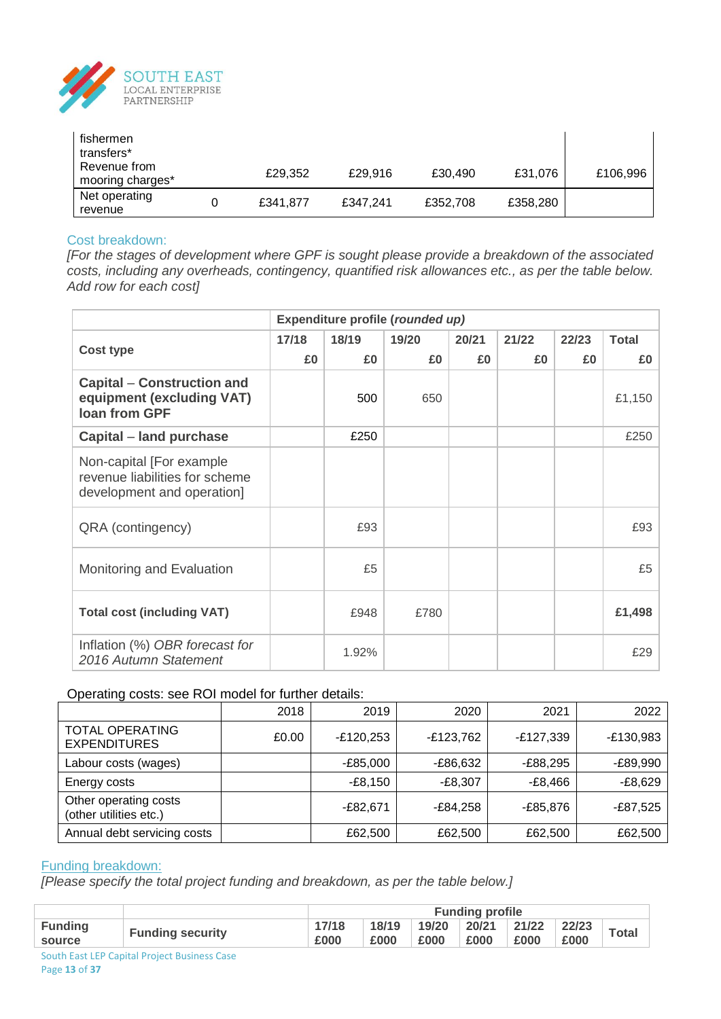

| fishermen<br>transfers*<br>Revenue from<br>mooring charges* | £29,352  | £29.916  | £30,490  | £31,076  | £106,996 |
|-------------------------------------------------------------|----------|----------|----------|----------|----------|
| Net operating<br>revenue                                    | £341,877 | £347.241 | £352,708 | £358,280 |          |

## Cost breakdown:

*[For the stages of development where GPF is sought please provide a breakdown of the associated costs, including any overheads, contingency, quantified risk allowances etc., as per the table below. Add row for each cost]*

|                                                                                          | Expenditure profile (rounded up) |       |       |       |       |       |              |  |
|------------------------------------------------------------------------------------------|----------------------------------|-------|-------|-------|-------|-------|--------------|--|
| <b>Cost type</b>                                                                         | 17/18                            | 18/19 | 19/20 | 20/21 | 21/22 | 22/23 | <b>Total</b> |  |
|                                                                                          | £0                               | £0    | £0    | £0    | £0    | £0    | £0           |  |
| <b>Capital – Construction and</b><br>equipment (excluding VAT)<br><b>Ioan from GPF</b>   |                                  | 500   | 650   |       |       |       | £1,150       |  |
| Capital – land purchase                                                                  |                                  | £250  |       |       |       |       | £250         |  |
| Non-capital [For example<br>revenue liabilities for scheme<br>development and operation] |                                  |       |       |       |       |       |              |  |
| QRA (contingency)                                                                        |                                  | £93   |       |       |       |       | £93          |  |
| Monitoring and Evaluation                                                                |                                  | £5    |       |       |       |       | £5           |  |
| <b>Total cost (including VAT)</b>                                                        |                                  | £948  | £780  |       |       |       | £1,498       |  |
| Inflation (%) OBR forecast for<br>2016 Autumn Statement                                  |                                  | 1.92% |       |       |       |       | £29          |  |

## Operating costs: see ROI model for further details:

|                                                 | 2018  | 2019        | 2020        | 2021        | 2022        |
|-------------------------------------------------|-------|-------------|-------------|-------------|-------------|
| <b>TOTAL OPERATING</b><br><b>EXPENDITURES</b>   | £0.00 | $-E120,253$ | $-E123,762$ | $-E127,339$ | $-E130,983$ |
| Labour costs (wages)                            |       | $-E85,000$  | -£86,632    | -£88,295    | -£89,990    |
| Energy costs                                    |       | -£8,150     | $-E8,307$   | -£8,466     | $-E8,629$   |
| Other operating costs<br>(other utilities etc.) |       | -£82,671    | -£84,258    | -£85,876    | -£87,525    |
| Annual debt servicing costs                     |       | £62,500     | £62,500     | £62,500     | £62,500     |

### Funding breakdown:

*[Please specify the total project funding and breakdown, as per the table below.]*

|                          |                         | <b>Funding profile</b> |               |                                   |      |      |      |              |
|--------------------------|-------------------------|------------------------|---------------|-----------------------------------|------|------|------|--------------|
| <b>Funding</b><br>source | <b>Funding security</b> | 17/18<br>£000          | 18/19<br>£000 | $19/20$ 20/21 21/22 22/23<br>£000 | £000 | £000 | £000 | <b>Total</b> |
|                          |                         |                        |               |                                   |      |      |      |              |

South East LEP Capital Project Business Case Page **13** of **37**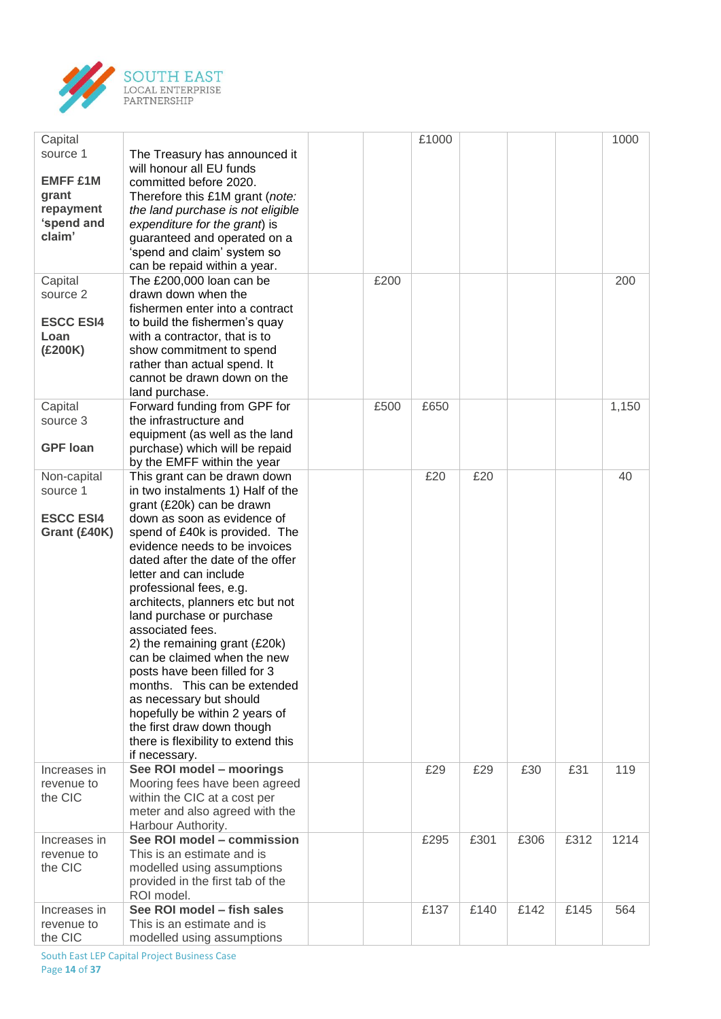

| Capital<br>source 1<br><b>EMFF £1M</b><br>grant<br>repayment<br>'spend and<br>claim' | The Treasury has announced it<br>will honour all EU funds<br>committed before 2020.<br>Therefore this £1M grant (note:<br>the land purchase is not eligible<br>expenditure for the grant) is<br>guaranteed and operated on a<br>'spend and claim' system so<br>can be repaid within a year.                                                                                                                                                                                                                                                                                                                                                                        |      | £1000 |      |      |      | 1000  |
|--------------------------------------------------------------------------------------|--------------------------------------------------------------------------------------------------------------------------------------------------------------------------------------------------------------------------------------------------------------------------------------------------------------------------------------------------------------------------------------------------------------------------------------------------------------------------------------------------------------------------------------------------------------------------------------------------------------------------------------------------------------------|------|-------|------|------|------|-------|
| Capital<br>source 2<br><b>ESCC ESI4</b><br>Loan<br>(£200K)                           | The £200,000 loan can be<br>drawn down when the<br>fishermen enter into a contract<br>to build the fishermen's quay<br>with a contractor, that is to<br>show commitment to spend<br>rather than actual spend. It<br>cannot be drawn down on the<br>land purchase.                                                                                                                                                                                                                                                                                                                                                                                                  | £200 |       |      |      |      | 200   |
| Capital<br>source 3<br><b>GPF</b> loan                                               | Forward funding from GPF for<br>the infrastructure and<br>equipment (as well as the land<br>purchase) which will be repaid<br>by the EMFF within the year                                                                                                                                                                                                                                                                                                                                                                                                                                                                                                          | £500 | £650  |      |      |      | 1,150 |
| Non-capital<br>source 1<br><b>ESCC ESI4</b><br>Grant (£40K)                          | This grant can be drawn down<br>in two instalments 1) Half of the<br>grant (£20k) can be drawn<br>down as soon as evidence of<br>spend of £40k is provided. The<br>evidence needs to be invoices<br>dated after the date of the offer<br>letter and can include<br>professional fees, e.g.<br>architects, planners etc but not<br>land purchase or purchase<br>associated fees.<br>2) the remaining grant (£20k)<br>can be claimed when the new<br>posts have been filled for 3<br>months. This can be extended<br>as necessary but should<br>hopefully be within 2 years of<br>the first draw down though<br>there is flexibility to extend this<br>if necessary. |      | £20   | £20  |      |      | 40    |
| Increases in<br>revenue to<br>the CIC                                                | See ROI model - moorings<br>Mooring fees have been agreed<br>within the CIC at a cost per<br>meter and also agreed with the<br>Harbour Authority.                                                                                                                                                                                                                                                                                                                                                                                                                                                                                                                  |      | £29   | £29  | £30  | £31  | 119   |
| Increases in<br>revenue to<br>the CIC                                                | See ROI model - commission<br>This is an estimate and is<br>modelled using assumptions<br>provided in the first tab of the<br>ROI model.                                                                                                                                                                                                                                                                                                                                                                                                                                                                                                                           |      | £295  | £301 | £306 | £312 | 1214  |
| Increases in<br>revenue to<br>the CIC                                                | See ROI model - fish sales<br>This is an estimate and is<br>modelled using assumptions                                                                                                                                                                                                                                                                                                                                                                                                                                                                                                                                                                             |      | £137  | £140 | £142 | £145 | 564   |

South East LEP Capital Project Business Case Page **14** of **37**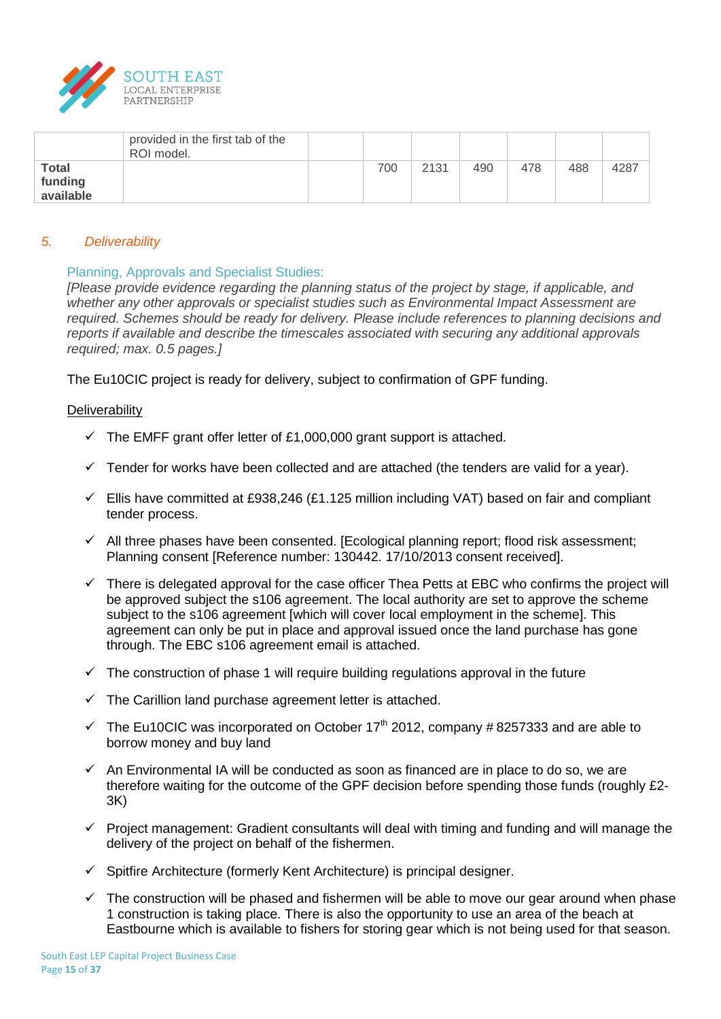

|                                      | provided in the first tab of the<br>ROI model. |     |      |     |     |     |      |
|--------------------------------------|------------------------------------------------|-----|------|-----|-----|-----|------|
| <b>Total</b><br>funding<br>available |                                                | 700 | 2131 | 490 | 478 | 488 | 4287 |

## *5. Deliverability*

### Planning, Approvals and Specialist Studies:

*[Please provide evidence regarding the planning status of the project by stage, if applicable, and whether any other approvals or specialist studies such as Environmental Impact Assessment are required. Schemes should be ready for delivery. Please include references to planning decisions and reports if available and describe the timescales associated with securing any additional approvals required; max. 0.5 pages.]*

The Eu10CIC project is ready for delivery, subject to confirmation of GPF funding.

#### **Deliverability**

- $\checkmark$  The EMFF grant offer letter of £1,000,000 grant support is attached.
- $\checkmark$  Tender for works have been collected and are attached (the tenders are valid for a year).
- $\checkmark$  Ellis have committed at £938,246 (£1.125 million including VAT) based on fair and compliant tender process.
- $\checkmark$  All three phases have been consented. [Ecological planning report; flood risk assessment; Planning consent [Reference number: 130442. 17/10/2013 consent received].
- $\checkmark$  There is delegated approval for the case officer Thea Petts at EBC who confirms the project will be approved subject the s106 agreement. The local authority are set to approve the scheme subject to the s106 agreement [which will cover local employment in the scheme]. This agreement can only be put in place and approval issued once the land purchase has gone through. The EBC s106 agreement email is attached.
- $\checkmark$  The construction of phase 1 will require building regulations approval in the future
- $\checkmark$  The Carillion land purchase agreement letter is attached.
- $\checkmark$  The Eu10CIC was incorporated on October 17<sup>th</sup> 2012, company #8257333 and are able to borrow money and buy land
- $\checkmark$  An Environmental IA will be conducted as soon as financed are in place to do so, we are therefore waiting for the outcome of the GPF decision before spending those funds (roughly £2- 3K)
- $\checkmark$  Project management: Gradient consultants will deal with timing and funding and will manage the delivery of the project on behalf of the fishermen.
- $\checkmark$  Spitfire Architecture (formerly Kent Architecture) is principal designer.
- $\checkmark$  The construction will be phased and fishermen will be able to move our gear around when phase 1 construction is taking place. There is also the opportunity to use an area of the beach at Eastbourne which is available to fishers for storing gear which is not being used for that season.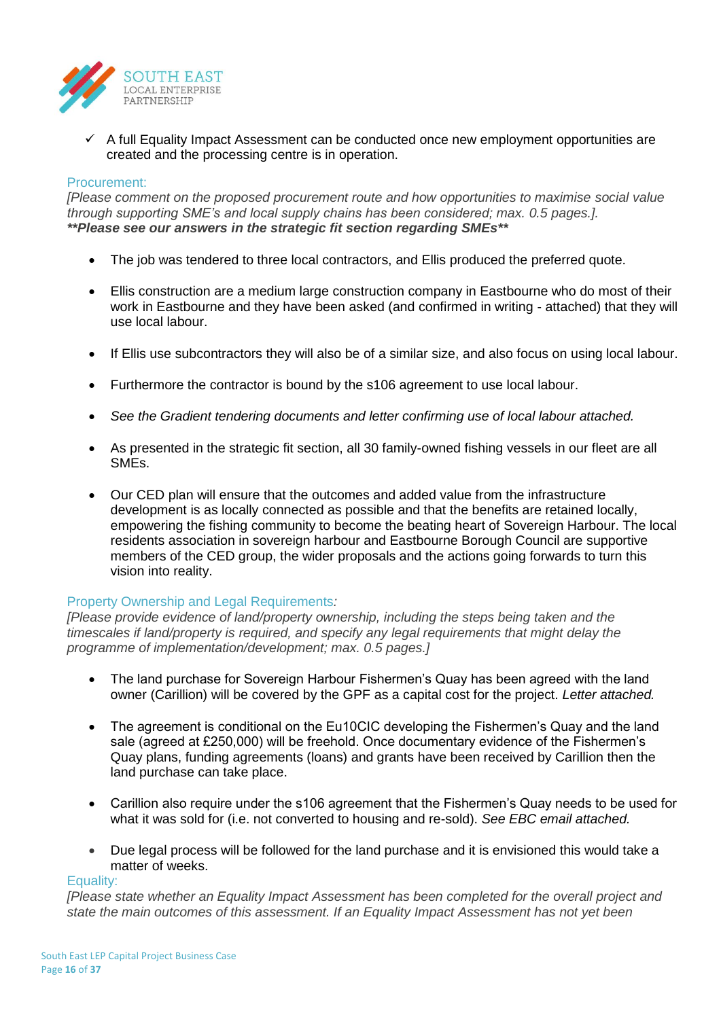

 $\checkmark$  A full Equality Impact Assessment can be conducted once new employment opportunities are created and the processing centre is in operation.

### Procurement:

*[Please comment on the proposed procurement route and how opportunities to maximise social value through supporting SME's and local supply chains has been considered; max. 0.5 pages.]. \*\*Please see our answers in the strategic fit section regarding SMEs\*\**

- The job was tendered to three local contractors, and Ellis produced the preferred quote.
- Ellis construction are a medium large construction company in Eastbourne who do most of their work in Eastbourne and they have been asked (and confirmed in writing - attached) that they will use local labour.
- If Ellis use subcontractors they will also be of a similar size, and also focus on using local labour.
- Furthermore the contractor is bound by the s106 agreement to use local labour.
- *See the Gradient tendering documents and letter confirming use of local labour attached.*
- As presented in the strategic fit section, all 30 family-owned fishing vessels in our fleet are all SMEs.
- Our CED plan will ensure that the outcomes and added value from the infrastructure development is as locally connected as possible and that the benefits are retained locally, empowering the fishing community to become the beating heart of Sovereign Harbour. The local residents association in sovereign harbour and Eastbourne Borough Council are supportive members of the CED group, the wider proposals and the actions going forwards to turn this vision into reality.

## Property Ownership and Legal Requirements*:*

*[Please provide evidence of land/property ownership, including the steps being taken and the timescales if land/property is required, and specify any legal requirements that might delay the programme of implementation/development; max. 0.5 pages.]*

- The land purchase for Sovereign Harbour Fishermen's Quay has been agreed with the land owner (Carillion) will be covered by the GPF as a capital cost for the project. *Letter attached.*
- The agreement is conditional on the Eu10CIC developing the Fishermen's Quay and the land sale (agreed at £250,000) will be freehold. Once documentary evidence of the Fishermen's Quay plans, funding agreements (loans) and grants have been received by Carillion then the land purchase can take place.
- Carillion also require under the s106 agreement that the Fishermen's Quay needs to be used for what it was sold for (i.e. not converted to housing and re-sold). *See EBC email attached.*
- Due legal process will be followed for the land purchase and it is envisioned this would take a matter of weeks.

#### Equality:

*[Please state whether an Equality Impact Assessment has been completed for the overall project and state the main outcomes of this assessment. If an Equality Impact Assessment has not yet been*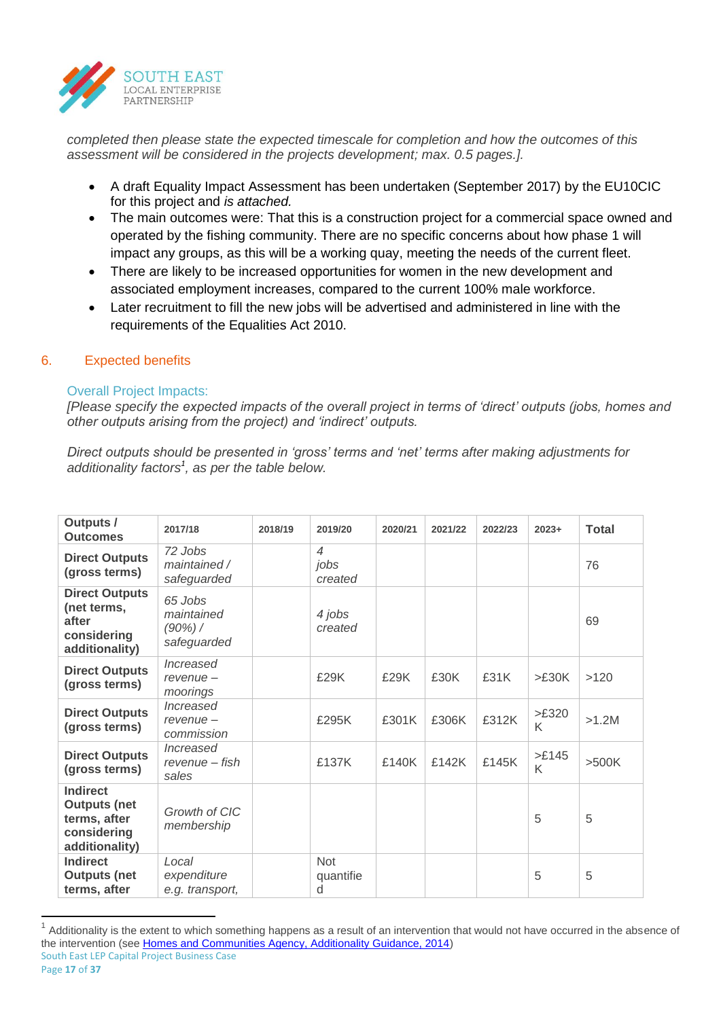

*completed then please state the expected timescale for completion and how the outcomes of this assessment will be considered in the projects development; max. 0.5 pages.].*

- A draft Equality Impact Assessment has been undertaken (September 2017) by the EU10CIC for this project and *is attached.*
- The main outcomes were: That this is a construction project for a commercial space owned and operated by the fishing community. There are no specific concerns about how phase 1 will impact any groups, as this will be a working quay, meeting the needs of the current fleet.
- There are likely to be increased opportunities for women in the new development and associated employment increases, compared to the current 100% male workforce.
- Later recruitment to fill the new jobs will be advertised and administered in line with the requirements of the Equalities Act 2010.

## 6. Expected benefits

## Overall Project Impacts:

*[Please specify the expected impacts of the overall project in terms of 'direct' outputs (jobs, homes and other outputs arising from the project) and 'indirect' outputs.* 

*Direct outputs should be presented in 'gross' terms and 'net' terms after making adjustments for additionality factors<sup>1</sup> , as per the table below.*

| Outputs /<br><b>Outcomes</b>                                                            | 2017/18                                            | 2018/19 | 2019/20                                     | 2020/21 | 2021/22 | 2022/23 | $2023+$            | <b>Total</b> |
|-----------------------------------------------------------------------------------------|----------------------------------------------------|---------|---------------------------------------------|---------|---------|---------|--------------------|--------------|
| <b>Direct Outputs</b><br>(gross terms)                                                  | 72 Jobs<br>maintained /<br>safeguarded             |         | $\overline{\mathcal{A}}$<br>jobs<br>created |         |         |         |                    | 76           |
| <b>Direct Outputs</b><br>(net terms,<br>after<br>considering<br>additionality)          | 65 Jobs<br>maintained<br>$(90\%)$ /<br>safeguarded |         | 4 jobs<br>created                           |         |         |         |                    | 69           |
| <b>Direct Outputs</b><br>(gross terms)                                                  | Increased<br>$revenue -$<br>moorings               |         | £29K                                        | £29K    | £30K    | £31K    | >E30K              | >120         |
| <b>Direct Outputs</b><br>(gross terms)                                                  | Increased<br>$revenue -$<br>commission             |         | £295K                                       | £301K   | £306K   | £312K   | $>\pounds320$<br>K | $>1.2M$      |
| <b>Direct Outputs</b><br>(gross terms)                                                  | Increased<br>revenue – fish<br>sales               |         | £137K                                       | £140K   | £142K   | £145K   | $>E145$<br>K       | >500K        |
| <b>Indirect</b><br><b>Outputs (net</b><br>terms, after<br>considering<br>additionality) | Growth of CIC<br>membership                        |         |                                             |         |         |         | 5                  | 5            |
| <b>Indirect</b><br><b>Outputs (net</b><br>terms, after                                  | Local<br>expenditure<br>e.g. transport,            |         | <b>Not</b><br>quantifie<br>d                |         |         |         | 5                  | 5            |

South East LEP Capital Project Business Case 1 Additionality is the extent to which something happens as a result of an intervention that would not have occurred in the absence of the intervention (see [Homes and Communities Agency, Additionality Guidance, 2014\)](https://www.gov.uk/government/uploads/system/uploads/attachment_data/file/378177/additionality_guide_2014_full.pdf)

 $\overline{a}$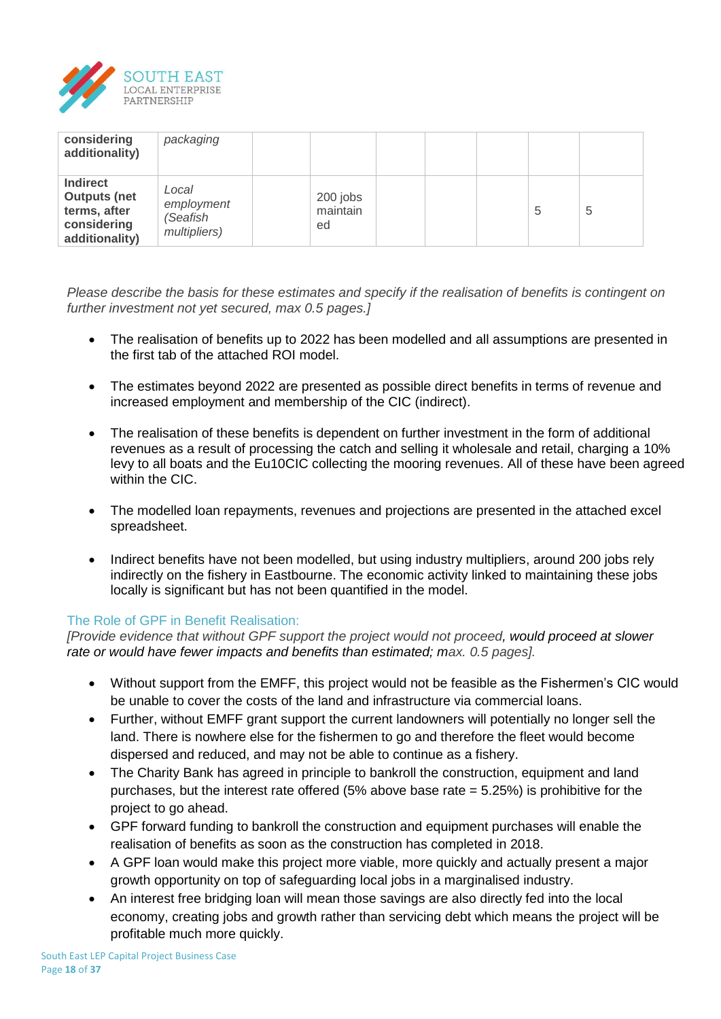

| considering<br>additionality)                                                           | packaging                                       |                            |  |   |   |
|-----------------------------------------------------------------------------------------|-------------------------------------------------|----------------------------|--|---|---|
| <b>Indirect</b><br><b>Outputs (net</b><br>terms, after<br>considering<br>additionality) | Local<br>employment<br>(Seafish<br>multipliers) | 200 jobs<br>maintain<br>ed |  | 5 | 5 |

*Please describe the basis for these estimates and specify if the realisation of benefits is contingent on further investment not yet secured, max 0.5 pages.]*

- The realisation of benefits up to 2022 has been modelled and all assumptions are presented in the first tab of the attached ROI model.
- The estimates beyond 2022 are presented as possible direct benefits in terms of revenue and increased employment and membership of the CIC (indirect).
- The realisation of these benefits is dependent on further investment in the form of additional revenues as a result of processing the catch and selling it wholesale and retail, charging a 10% levy to all boats and the Eu10CIC collecting the mooring revenues. All of these have been agreed within the CIC.
- The modelled loan repayments, revenues and projections are presented in the attached excel spreadsheet.
- Indirect benefits have not been modelled, but using industry multipliers, around 200 jobs rely indirectly on the fishery in Eastbourne. The economic activity linked to maintaining these jobs locally is significant but has not been quantified in the model.

## The Role of GPF in Benefit Realisation:

*[Provide evidence that without GPF support the project would not proceed, would proceed at slower rate or would have fewer impacts and benefits than estimated; max. 0.5 pages].*

- Without support from the EMFF, this project would not be feasible as the Fishermen's CIC would be unable to cover the costs of the land and infrastructure via commercial loans.
- Further, without EMFF grant support the current landowners will potentially no longer sell the land. There is nowhere else for the fishermen to go and therefore the fleet would become dispersed and reduced, and may not be able to continue as a fishery.
- The Charity Bank has agreed in principle to bankroll the construction, equipment and land purchases, but the interest rate offered (5% above base rate = 5.25%) is prohibitive for the project to go ahead.
- GPF forward funding to bankroll the construction and equipment purchases will enable the realisation of benefits as soon as the construction has completed in 2018.
- A GPF loan would make this project more viable, more quickly and actually present a major growth opportunity on top of safeguarding local jobs in a marginalised industry.
- An interest free bridging loan will mean those savings are also directly fed into the local economy, creating jobs and growth rather than servicing debt which means the project will be profitable much more quickly.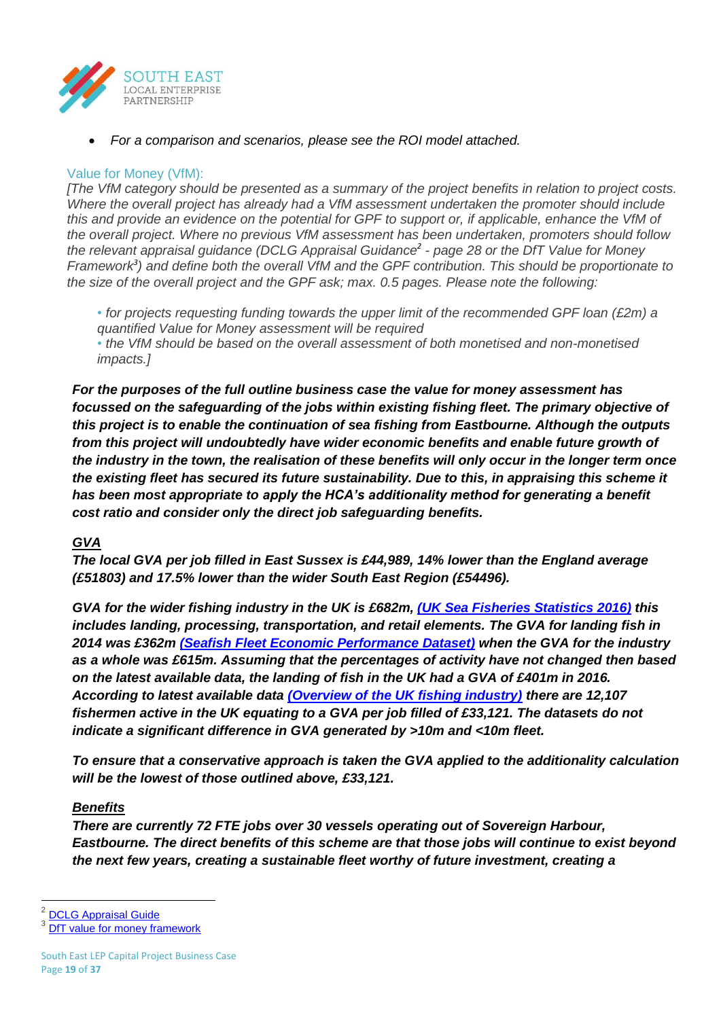

*For a comparison and scenarios, please see the ROI model attached.* 

## Value for Money (VfM):

*[The VfM category should be presented as a summary of the project benefits in relation to project costs. Where the overall project has already had a VfM assessment undertaken the promoter should include this and provide an evidence on the potential for GPF to support or, if applicable, enhance the VfM of the overall project. Where no previous VfM assessment has been undertaken, promoters should follow the relevant appraisal guidance (DCLG Appraisal Guidance<sup>2</sup> - page 28 or the DfT Value for Money Framework<sup>3</sup> ) and define both the overall VfM and the GPF contribution. This should be proportionate to the size of the overall project and the GPF ask; max. 0.5 pages. Please note the following:*

- *• for projects requesting funding towards the upper limit of the recommended GPF loan (£2m) a quantified Value for Money assessment will be required*
- *• the VfM should be based on the overall assessment of both monetised and non-monetised impacts.]*

*For the purposes of the full outline business case the value for money assessment has focussed on the safeguarding of the jobs within existing fishing fleet. The primary objective of this project is to enable the continuation of sea fishing from Eastbourne. Although the outputs from this project will undoubtedly have wider economic benefits and enable future growth of the industry in the town, the realisation of these benefits will only occur in the longer term once the existing fleet has secured its future sustainability. Due to this, in appraising this scheme it has been most appropriate to apply the HCA's additionality method for generating a benefit cost ratio and consider only the direct job safeguarding benefits.*

## *GVA*

*The local GVA per job filled in East Sussex is £44,989, 14% lower than the England average (£51803) and 17.5% lower than the wider South East Region (£54496).* 

*GVA for the wider fishing industry in the UK is £682m, [\(UK Sea Fisheries Statistics 2016\)](https://www.gov.uk/government/uploads/system/uploads/attachment_data/file/647482/UK_Sea_Fisheries_Statistics_2016_Full_report.pdf) this includes landing, processing, transportation, and retail elements. The GVA for landing fish in 2014 was £362m [\(Seafish Fleet Economic Performance Dataset\)](http://www.seafish.org/media/Publications/Seafish_Fleet_Economic_Performance_Dataset_Digital_Version.pdf) when the GVA for the industry as a whole was £615m. Assuming that the percentages of activity have not changed then based on the latest available data, the landing of fish in the UK had a GVA of £401m in 2016. According to latest available data [\(Overview of the UK fishing industry\)](https://www.gov.uk/government/uploads/system/uploads/attachment_data/file/598209/Chapter_1_Overview_of_the_UK_fishing_industry.xls) there are 12,107 fishermen active in the UK equating to a GVA per job filled of £33,121. The datasets do not indicate a significant difference in GVA generated by >10m and <10m fleet.*

*To ensure that a conservative approach is taken the GVA applied to the additionality calculation will be the lowest of those outlined above, £33,121.*

## *Benefits*

*There are currently 72 FTE jobs over 30 vessels operating out of Sovereign Harbour, Eastbourne. The direct benefits of this scheme are that those jobs will continue to exist beyond the next few years, creating a sustainable fleet worthy of future investment, creating a* 

 $\overline{a}$ 

<sup>2</sup> [DCLG Appraisal Guide](https://www.gov.uk/government/uploads/system/uploads/attachment_data/file/576427/161129_Appraisal_Guidance.pdf)

<sup>3</sup> [DfT value for money framework](https://www.gov.uk/government/publications/dft-value-for-money-framework)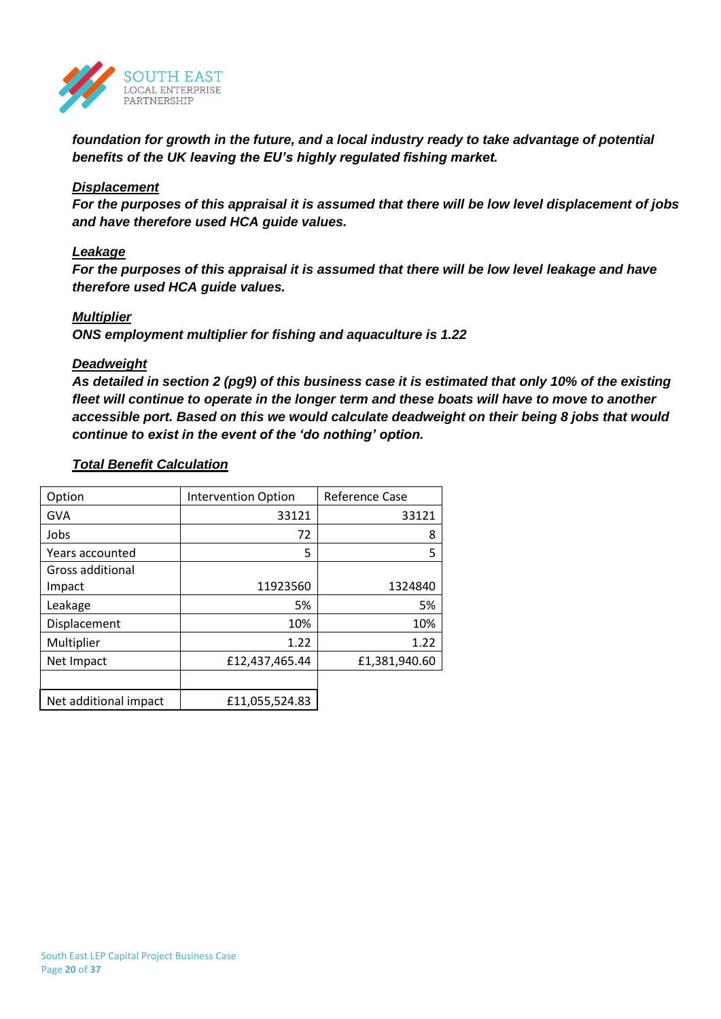

*foundation for growth in the future, and a local industry ready to take advantage of potential benefits of the UK leaving the EU's highly regulated fishing market.*

### *Displacement*

*For the purposes of this appraisal it is assumed that there will be low level displacement of jobs and have therefore used HCA guide values.* 

## *Leakage*

*For the purposes of this appraisal it is assumed that there will be low level leakage and have therefore used HCA guide values.*

### *Multiplier*

*ONS employment multiplier for fishing and aquaculture is 1.22*

### *Deadweight*

*As detailed in section 2 (pg9) of this business case it is estimated that only 10% of the existing fleet will continue to operate in the longer term and these boats will have to move to another accessible port. Based on this we would calculate deadweight on their being 8 jobs that would continue to exist in the event of the 'do nothing' option.*

### *Total Benefit Calculation*

| Option                | <b>Intervention Option</b> | Reference Case |
|-----------------------|----------------------------|----------------|
| <b>GVA</b>            | 33121                      | 33121          |
| Jobs                  | 72                         | 8              |
| Years accounted       | 5                          | 5              |
| Gross additional      |                            |                |
| Impact                | 11923560                   | 1324840        |
| Leakage               | 5%                         | 5%             |
| Displacement          | 10%                        | 10%            |
| Multiplier            | 1.22                       | 1.22           |
| Net Impact            | £12,437,465.44             | £1,381,940.60  |
|                       |                            |                |
| Net additional impact | £11,055,524.83             |                |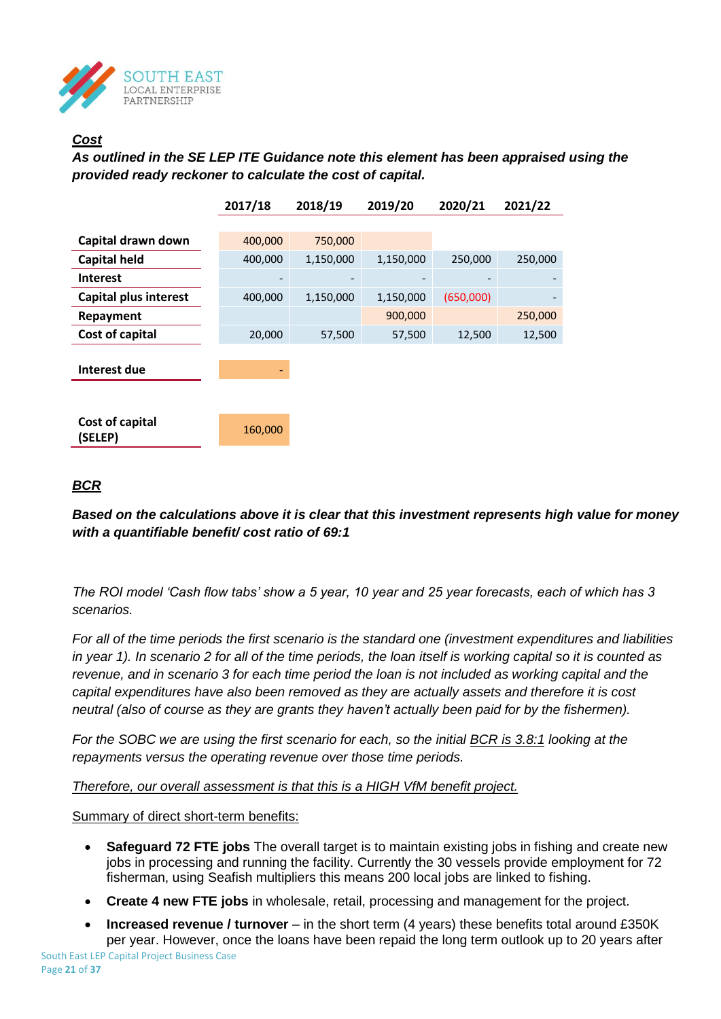

## *Cost*

*As outlined in the SE LEP ITE Guidance note this element has been appraised using the provided ready reckoner to calculate the cost of capital.* 

|                              | 2017/18 | 2018/19   | 2019/20   | 2020/21   | 2021/22 |
|------------------------------|---------|-----------|-----------|-----------|---------|
|                              |         |           |           |           |         |
| Capital drawn down           | 400,000 | 750,000   |           |           |         |
| <b>Capital held</b>          | 400,000 | 1,150,000 | 1,150,000 | 250,000   | 250,000 |
| <b>Interest</b>              |         |           |           |           |         |
| <b>Capital plus interest</b> | 400,000 | 1,150,000 | 1,150,000 | (650,000) |         |
| Repayment                    |         |           | 900,000   |           | 250,000 |
| Cost of capital              | 20,000  | 57,500    | 57,500    | 12,500    | 12,500  |
|                              |         |           |           |           |         |
| Interest due                 |         |           |           |           |         |
|                              |         |           |           |           |         |
|                              |         |           |           |           |         |
| Cost of capital<br>(SELEP)   | 160,000 |           |           |           |         |
|                              |         |           |           |           |         |

## *BCR*

*Based on the calculations above it is clear that this investment represents high value for money with a quantifiable benefit/ cost ratio of 69:1*

*The ROI model 'Cash flow tabs' show a 5 year, 10 year and 25 year forecasts, each of which has 3 scenarios.*

*For all of the time periods the first scenario is the standard one (investment expenditures and liabilities in year 1). In scenario 2 for all of the time periods, the loan itself is working capital so it is counted as revenue, and in scenario 3 for each time period the loan is not included as working capital and the capital expenditures have also been removed as they are actually assets and therefore it is cost neutral (also of course as they are grants they haven't actually been paid for by the fishermen).* 

*For the SOBC we are using the first scenario for each, so the initial BCR is 3.8:1 looking at the repayments versus the operating revenue over those time periods.* 

*Therefore, our overall assessment is that this is a HIGH VfM benefit project.* 

Summary of direct short-term benefits:

- **Safeguard 72 FTE jobs** The overall target is to maintain existing jobs in fishing and create new jobs in processing and running the facility. Currently the 30 vessels provide employment for 72 fisherman, using Seafish multipliers this means 200 local jobs are linked to fishing.
- **Create 4 new FTE jobs** in wholesale, retail, processing and management for the project.
- **Increased revenue / turnover** in the short term (4 years) these benefits total around £350K per year. However, once the loans have been repaid the long term outlook up to 20 years after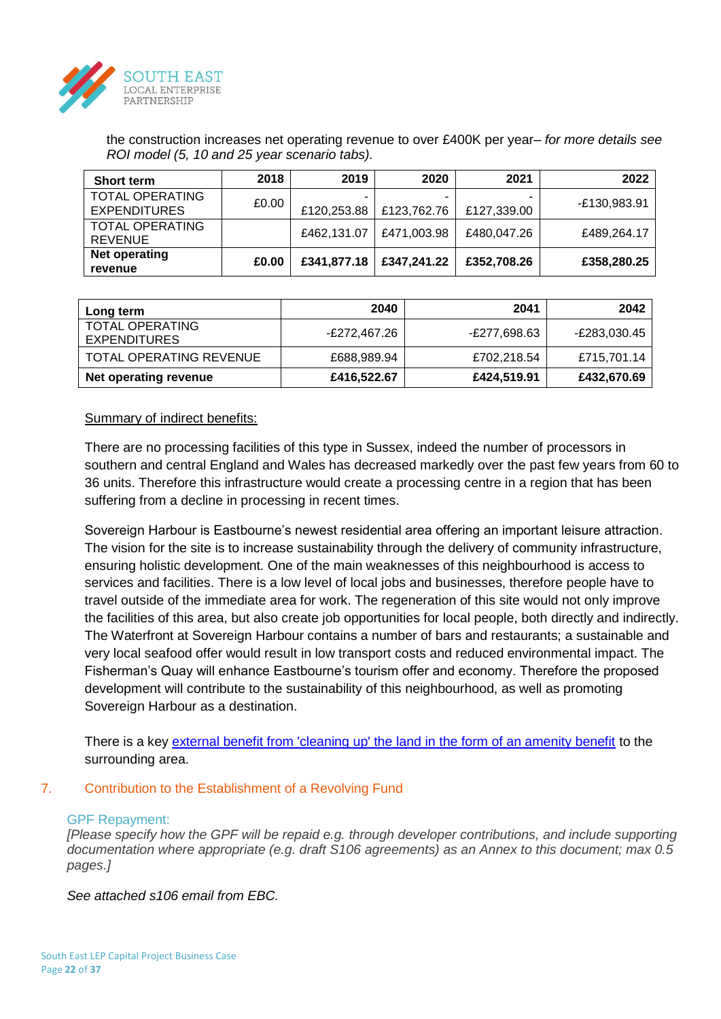

the construction increases net operating revenue to over £400K per year– *for more details see ROI model (5, 10 and 25 year scenario tabs).*

| <b>Short term</b>      | 2018  | 2019        | 2020        | 2021        | 2022         |
|------------------------|-------|-------------|-------------|-------------|--------------|
| <b>TOTAL OPERATING</b> | £0.00 |             |             | -           | -£130,983.91 |
| <b>EXPENDITURES</b>    |       | £120,253.88 | £123,762.76 | £127,339.00 |              |
| <b>TOTAL OPERATING</b> |       | £462,131.07 | £471,003.98 | £480,047.26 | £489.264.17  |
| <b>REVENUE</b>         |       |             |             |             |              |
| Net operating          | £0.00 | £341,877.18 | £347,241.22 | £352,708.26 |              |
| revenue                |       |             |             |             | £358,280.25  |

| Long term                                     | 2040         | 2041         | 2042         |
|-----------------------------------------------|--------------|--------------|--------------|
| <b>TOTAL OPERATING</b><br><b>EXPENDITURES</b> | E272,467.26- | E277,698.63- | E283,030.45- |
| <b>TOTAL OPERATING REVENUE</b>                | £688,989.94  | £702.218.54  | £715,701.14  |
| Net operating revenue                         | £416,522.67  | £424,519.91  | £432,670.69  |

## Summary of indirect benefits:

There are no processing facilities of this type in Sussex, indeed the number of processors in southern and central England and Wales has decreased markedly over the past few years from 60 to 36 units. Therefore this infrastructure would create a processing centre in a region that has been suffering from a decline in processing in recent times.

Sovereign Harbour is Eastbourne's newest residential area offering an important leisure attraction. The vision for the site is to increase sustainability through the delivery of community infrastructure, ensuring holistic development. One of the main weaknesses of this neighbourhood is access to services and facilities. There is a low level of local jobs and businesses, therefore people have to travel outside of the immediate area for work. The regeneration of this site would not only improve the facilities of this area, but also create job opportunities for local people, both directly and indirectly. The Waterfront at Sovereign Harbour contains a number of bars and restaurants; a sustainable and very local seafood offer would result in low transport costs and reduced environmental impact. The Fisherman's Quay will enhance Eastbourne's tourism offer and economy. Therefore the proposed development will contribute to the sustainability of this neighbourhood, as well as promoting Sovereign Harbour as a destination.

There is a key [external benefit from 'cleaning up' the land in the form of an amenity benefit](https://www.gov.uk/government/uploads/system/uploads/attachment_data/file/576427/161129_Appraisal_Guidance.pdf) to the surrounding area.

## 7. Contribution to the Establishment of a Revolving Fund

## GPF Repayment:

*[Please specify how the GPF will be repaid e.g. through developer contributions, and include supporting documentation where appropriate (e.g. draft S106 agreements) as an Annex to this document; max 0.5 pages.]*

*See attached s106 email from EBC.*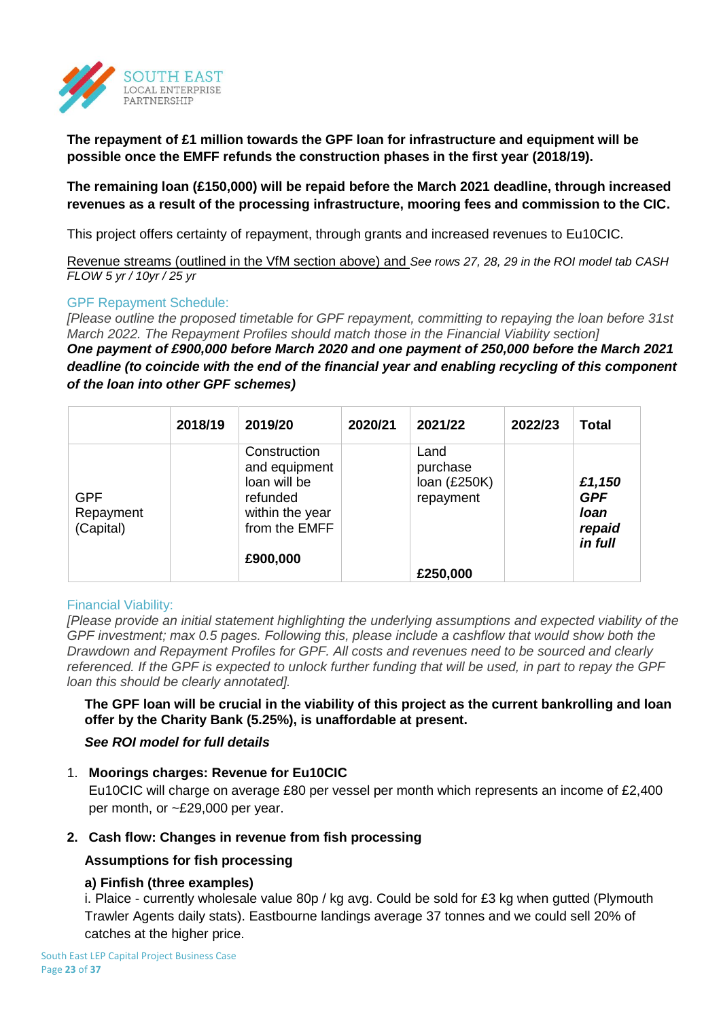

**The repayment of £1 million towards the GPF loan for infrastructure and equipment will be possible once the EMFF refunds the construction phases in the first year (2018/19).** 

## **The remaining loan (£150,000) will be repaid before the March 2021 deadline, through increased revenues as a result of the processing infrastructure, mooring fees and commission to the CIC.**

This project offers certainty of repayment, through grants and increased revenues to Eu10CIC.

Revenue streams (outlined in the VfM section above) and *See rows 27, 28, 29 in the ROI model tab CASH FLOW 5 yr / 10yr / 25 yr*

## GPF Repayment Schedule:

*[Please outline the proposed timetable for GPF repayment, committing to repaying the loan before 31st March 2022. The Repayment Profiles should match those in the Financial Viability section]*

*One payment of £900,000 before March 2020 and one payment of 250,000 before the March 2021 deadline (to coincide with the end of the financial year and enabling recycling of this component of the loan into other GPF schemes)*

|                                      | 2018/19 | 2019/20                                                                                                   | 2020/21 | 2021/22                                                     | 2022/23 | <b>Total</b>                                      |
|--------------------------------------|---------|-----------------------------------------------------------------------------------------------------------|---------|-------------------------------------------------------------|---------|---------------------------------------------------|
| <b>GPF</b><br>Repayment<br>(Capital) |         | Construction<br>and equipment<br>loan will be<br>refunded<br>within the year<br>from the EMFF<br>£900,000 |         | Land<br>purchase<br>loan $(E250K)$<br>repayment<br>£250,000 |         | £1,150<br><b>GPF</b><br>loan<br>repaid<br>in full |

## Financial Viability:

*[Please provide an initial statement highlighting the underlying assumptions and expected viability of the GPF investment; max 0.5 pages. Following this, please include a cashflow that would show both the Drawdown and Repayment Profiles for GPF. All costs and revenues need to be sourced and clearly referenced. If the GPF is expected to unlock further funding that will be used, in part to repay the GPF loan this should be clearly annotated].*

**The GPF loan will be crucial in the viability of this project as the current bankrolling and loan offer by the Charity Bank (5.25%), is unaffordable at present.** 

## *See ROI model for full details*

## 1. **Moorings charges: Revenue for Eu10CIC**

Eu10CIC will charge on average £80 per vessel per month which represents an income of £2,400 per month, or ~£29,000 per year.

## **2. Cash flow: Changes in revenue from fish processing**

## **Assumptions for fish processing**

## **a) Finfish (three examples)**

i. Plaice - currently wholesale value 80p / kg avg. Could be sold for £3 kg when gutted (Plymouth Trawler Agents daily stats). Eastbourne landings average 37 tonnes and we could sell 20% of catches at the higher price.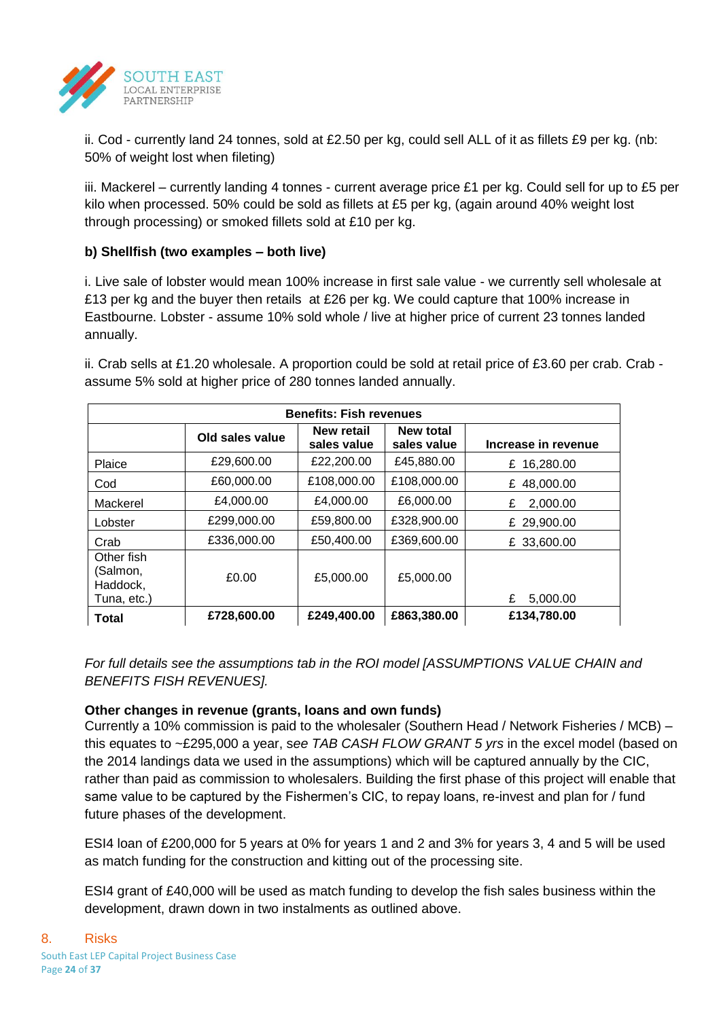

ii. Cod - currently land 24 tonnes, sold at £2.50 per kg, could sell ALL of it as fillets £9 per kg. (nb: 50% of weight lost when fileting)

iii. Mackerel – currently landing 4 tonnes - current average price £1 per kg. Could sell for up to £5 per kilo when processed. 50% could be sold as fillets at £5 per kg, (again around 40% weight lost through processing) or smoked fillets sold at £10 per kg.

## **b) Shellfish (two examples – both live)**

i. Live sale of lobster would mean 100% increase in first sale value - we currently sell wholesale at £13 per kg and the buyer then retails at £26 per kg. We could capture that 100% increase in Eastbourne. Lobster - assume 10% sold whole / live at higher price of current 23 tonnes landed annually.

| <b>Benefits: Fish revenues</b>                    |                 |                                  |                                 |                     |  |  |  |  |  |
|---------------------------------------------------|-----------------|----------------------------------|---------------------------------|---------------------|--|--|--|--|--|
|                                                   | Old sales value | <b>New retail</b><br>sales value | <b>New total</b><br>sales value | Increase in revenue |  |  |  |  |  |
| Plaice                                            | £29,600,00      | £22,200.00                       | £45,880.00                      | £ 16,280.00         |  |  |  |  |  |
| Cod                                               | £60,000.00      | £108,000.00                      | £108,000.00                     | 48,000.00<br>£      |  |  |  |  |  |
| Mackerel                                          | £4,000.00       | £4,000.00                        | £6,000.00                       | £<br>2.000.00       |  |  |  |  |  |
| Lobster                                           | £299,000.00     | £59,800.00                       | £328,900.00                     | £ 29,900.00         |  |  |  |  |  |
| Crab                                              | £336,000.00     | £50,400.00                       | £369,600.00                     | £ 33,600.00         |  |  |  |  |  |
| Other fish<br>(Salmon,<br>Haddock,<br>Tuna, etc.) | £0.00           | £5,000.00                        | £5,000.00                       | £<br>5,000.00       |  |  |  |  |  |
| <b>Total</b>                                      | £728,600.00     | £249,400.00                      | £863,380.00                     | £134,780.00         |  |  |  |  |  |

ii. Crab sells at £1.20 wholesale. A proportion could be sold at retail price of £3.60 per crab. Crab assume 5% sold at higher price of 280 tonnes landed annually.

*For full details see the assumptions tab in the ROI model [ASSUMPTIONS VALUE CHAIN and BENEFITS FISH REVENUES].* 

## **Other changes in revenue (grants, loans and own funds)**

Currently a 10% commission is paid to the wholesaler (Southern Head / Network Fisheries / MCB) – this equates to ~£295,000 a year, s*ee TAB CASH FLOW GRANT 5 yrs* in the excel model (based on the 2014 landings data we used in the assumptions) which will be captured annually by the CIC, rather than paid as commission to wholesalers. Building the first phase of this project will enable that same value to be captured by the Fishermen's CIC, to repay loans, re-invest and plan for / fund future phases of the development.

ESI4 loan of £200,000 for 5 years at 0% for years 1 and 2 and 3% for years 3, 4 and 5 will be used as match funding for the construction and kitting out of the processing site.

ESI4 grant of £40,000 will be used as match funding to develop the fish sales business within the development, drawn down in two instalments as outlined above.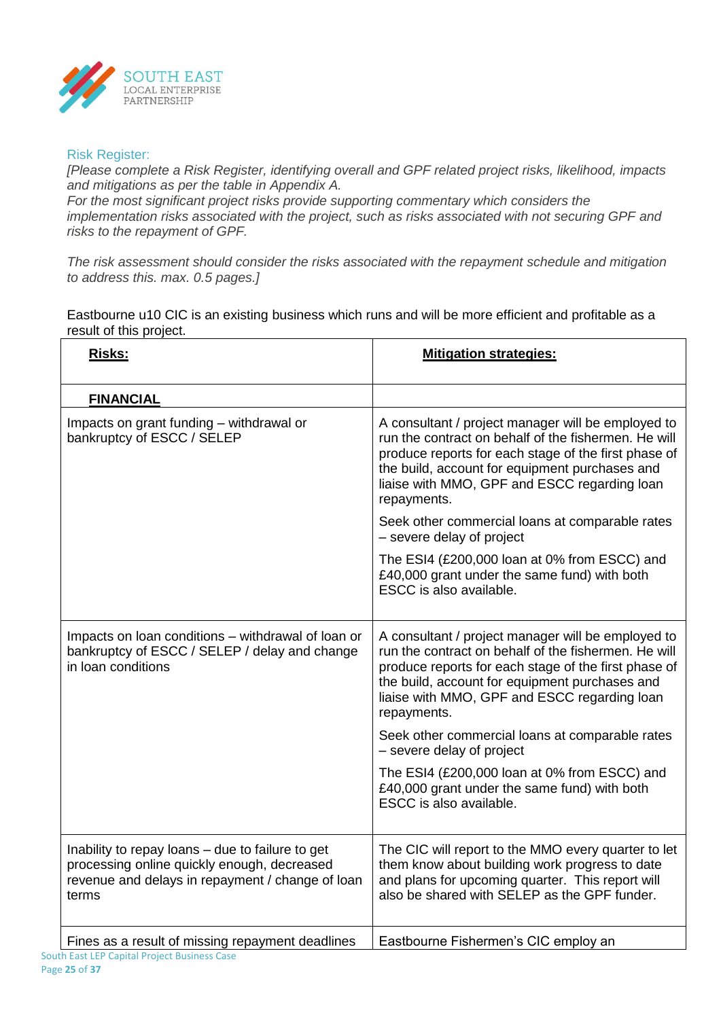

## Risk Register:

*[Please complete a Risk Register, identifying overall and GPF related project risks, likelihood, impacts and mitigations as per the table in Appendix A.* 

*For the most significant project risks provide supporting commentary which considers the implementation risks associated with the project, such as risks associated with not securing GPF and risks to the repayment of GPF.*

*The risk assessment should consider the risks associated with the repayment schedule and mitigation to address this. max. 0.5 pages.]*

Eastbourne u10 CIC is an existing business which runs and will be more efficient and profitable as a result of this project.

| Risks:                                                                                                                                                       | <b>Mitigation strategies:</b>                                                                                                                                                                                                                                                       |
|--------------------------------------------------------------------------------------------------------------------------------------------------------------|-------------------------------------------------------------------------------------------------------------------------------------------------------------------------------------------------------------------------------------------------------------------------------------|
| <b>FINANCIAL</b>                                                                                                                                             |                                                                                                                                                                                                                                                                                     |
| Impacts on grant funding - withdrawal or<br>bankruptcy of ESCC / SELEP                                                                                       | A consultant / project manager will be employed to<br>run the contract on behalf of the fishermen. He will<br>produce reports for each stage of the first phase of<br>the build, account for equipment purchases and<br>liaise with MMO, GPF and ESCC regarding loan<br>repayments. |
|                                                                                                                                                              | Seek other commercial loans at comparable rates<br>- severe delay of project                                                                                                                                                                                                        |
|                                                                                                                                                              | The ESI4 (£200,000 loan at 0% from ESCC) and<br>£40,000 grant under the same fund) with both<br>ESCC is also available.                                                                                                                                                             |
| Impacts on loan conditions – withdrawal of loan or<br>bankruptcy of ESCC / SELEP / delay and change<br>in Ioan conditions                                    | A consultant / project manager will be employed to<br>run the contract on behalf of the fishermen. He will<br>produce reports for each stage of the first phase of<br>the build, account for equipment purchases and<br>liaise with MMO, GPF and ESCC regarding loan<br>repayments. |
|                                                                                                                                                              | Seek other commercial loans at comparable rates<br>- severe delay of project                                                                                                                                                                                                        |
|                                                                                                                                                              | The ESI4 (£200,000 loan at 0% from ESCC) and<br>£40,000 grant under the same fund) with both<br>ESCC is also available.                                                                                                                                                             |
| Inability to repay loans - due to failure to get<br>processing online quickly enough, decreased<br>revenue and delays in repayment / change of loan<br>terms | The CIC will report to the MMO every quarter to let<br>them know about building work progress to date<br>and plans for upcoming quarter. This report will<br>also be shared with SELEP as the GPF funder.                                                                           |
| Fines as a result of missing repayment deadlines<br>South East LEP Capital Project Business Case                                                             | Eastbourne Fishermen's CIC employ an                                                                                                                                                                                                                                                |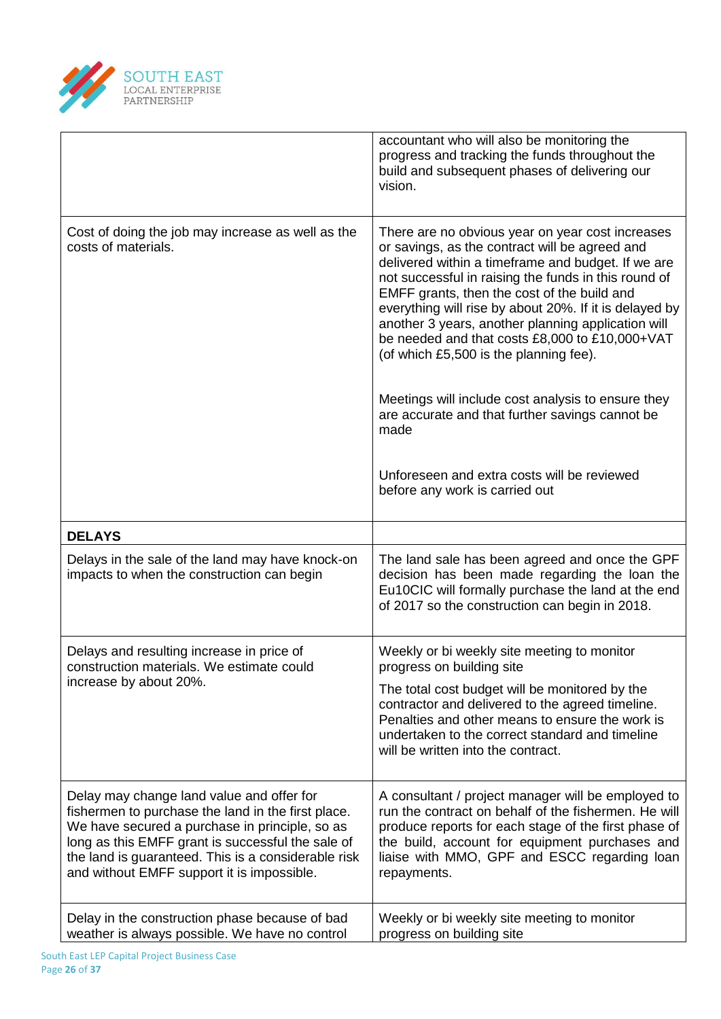

|                                                                                                                                                                                                                                                                                                             | accountant who will also be monitoring the<br>progress and tracking the funds throughout the<br>build and subsequent phases of delivering our<br>vision.                                                                                                                                                                                                                                                                                                                    |
|-------------------------------------------------------------------------------------------------------------------------------------------------------------------------------------------------------------------------------------------------------------------------------------------------------------|-----------------------------------------------------------------------------------------------------------------------------------------------------------------------------------------------------------------------------------------------------------------------------------------------------------------------------------------------------------------------------------------------------------------------------------------------------------------------------|
| Cost of doing the job may increase as well as the<br>costs of materials.                                                                                                                                                                                                                                    | There are no obvious year on year cost increases<br>or savings, as the contract will be agreed and<br>delivered within a timeframe and budget. If we are<br>not successful in raising the funds in this round of<br>EMFF grants, then the cost of the build and<br>everything will rise by about 20%. If it is delayed by<br>another 3 years, another planning application will<br>be needed and that costs £8,000 to £10,000+VAT<br>(of which £5,500 is the planning fee). |
|                                                                                                                                                                                                                                                                                                             | Meetings will include cost analysis to ensure they<br>are accurate and that further savings cannot be<br>made                                                                                                                                                                                                                                                                                                                                                               |
|                                                                                                                                                                                                                                                                                                             | Unforeseen and extra costs will be reviewed<br>before any work is carried out                                                                                                                                                                                                                                                                                                                                                                                               |
| <b>DELAYS</b>                                                                                                                                                                                                                                                                                               |                                                                                                                                                                                                                                                                                                                                                                                                                                                                             |
| Delays in the sale of the land may have knock-on<br>impacts to when the construction can begin                                                                                                                                                                                                              | The land sale has been agreed and once the GPF<br>decision has been made regarding the loan the<br>Eu10CIC will formally purchase the land at the end<br>of 2017 so the construction can begin in 2018.                                                                                                                                                                                                                                                                     |
| Delays and resulting increase in price of<br>construction materials. We estimate could                                                                                                                                                                                                                      | Weekly or bi weekly site meeting to monitor<br>progress on building site                                                                                                                                                                                                                                                                                                                                                                                                    |
| increase by about 20%.                                                                                                                                                                                                                                                                                      | The total cost budget will be monitored by the<br>contractor and delivered to the agreed timeline.<br>Penalties and other means to ensure the work is<br>undertaken to the correct standard and timeline<br>will be written into the contract.                                                                                                                                                                                                                              |
| Delay may change land value and offer for<br>fishermen to purchase the land in the first place.<br>We have secured a purchase in principle, so as<br>long as this EMFF grant is successful the sale of<br>the land is guaranteed. This is a considerable risk<br>and without EMFF support it is impossible. | A consultant / project manager will be employed to<br>run the contract on behalf of the fishermen. He will<br>produce reports for each stage of the first phase of<br>the build, account for equipment purchases and<br>liaise with MMO, GPF and ESCC regarding loan<br>repayments.                                                                                                                                                                                         |
| Delay in the construction phase because of bad<br>weather is always possible. We have no control                                                                                                                                                                                                            | Weekly or bi weekly site meeting to monitor<br>progress on building site                                                                                                                                                                                                                                                                                                                                                                                                    |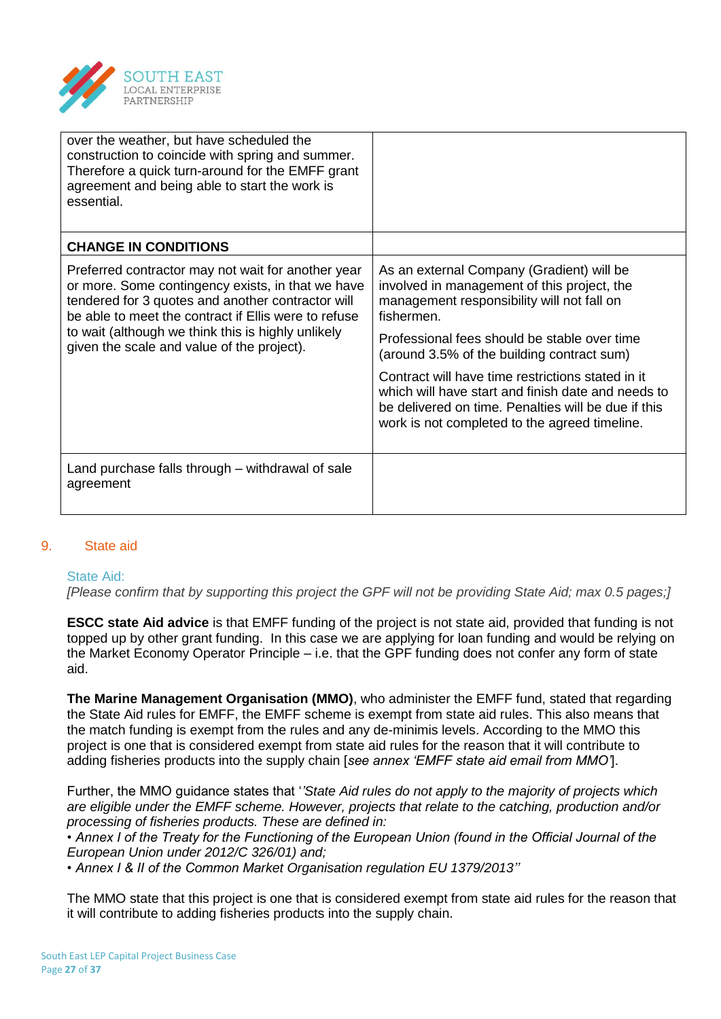

| over the weather, but have scheduled the<br>construction to coincide with spring and summer.<br>Therefore a quick turn-around for the EMFF grant<br>agreement and being able to start the work is<br>essential.                                                                                                          |                                                                                                                                                                                                                                                                                                                                                                                                                                                                       |
|--------------------------------------------------------------------------------------------------------------------------------------------------------------------------------------------------------------------------------------------------------------------------------------------------------------------------|-----------------------------------------------------------------------------------------------------------------------------------------------------------------------------------------------------------------------------------------------------------------------------------------------------------------------------------------------------------------------------------------------------------------------------------------------------------------------|
| <b>CHANGE IN CONDITIONS</b>                                                                                                                                                                                                                                                                                              |                                                                                                                                                                                                                                                                                                                                                                                                                                                                       |
| Preferred contractor may not wait for another year<br>or more. Some contingency exists, in that we have<br>tendered for 3 quotes and another contractor will<br>be able to meet the contract if Ellis were to refuse<br>to wait (although we think this is highly unlikely<br>given the scale and value of the project). | As an external Company (Gradient) will be<br>involved in management of this project, the<br>management responsibility will not fall on<br>fishermen.<br>Professional fees should be stable over time<br>(around 3.5% of the building contract sum)<br>Contract will have time restrictions stated in it<br>which will have start and finish date and needs to<br>be delivered on time. Penalties will be due if this<br>work is not completed to the agreed timeline. |
| Land purchase falls through – withdrawal of sale<br>agreement                                                                                                                                                                                                                                                            |                                                                                                                                                                                                                                                                                                                                                                                                                                                                       |

## 9. State aid

#### State Aid:

*[Please confirm that by supporting this project the GPF will not be providing State Aid; max 0.5 pages;]*

**ESCC state Aid advice** is that EMFF funding of the project is not state aid, provided that funding is not topped up by other grant funding. In this case we are applying for loan funding and would be relying on the Market Economy Operator Principle – i.e. that the GPF funding does not confer any form of state aid.

**The Marine Management Organisation (MMO)**, who administer the EMFF fund, stated that regarding the State Aid rules for EMFF, the EMFF scheme is exempt from state aid rules. This also means that the match funding is exempt from the rules and any de-minimis levels. According to the MMO this project is one that is considered exempt from state aid rules for the reason that it will contribute to adding fisheries products into the supply chain [*see annex 'EMFF state aid email from MMO'*].

Further, the MMO guidance states that '*'State Aid rules do not apply to the majority of projects which are eligible under the EMFF scheme. However, projects that relate to the catching, production and/or processing of fisheries products. These are defined in:*

*• Annex I of the Treaty for the Functioning of the European Union (found in the Official Journal of the European Union under 2012/C 326/01) and;*

*• Annex I & II of the Common Market Organisation regulation EU 1379/2013''*

The MMO state that this project is one that is considered exempt from state aid rules for the reason that it will contribute to adding fisheries products into the supply chain.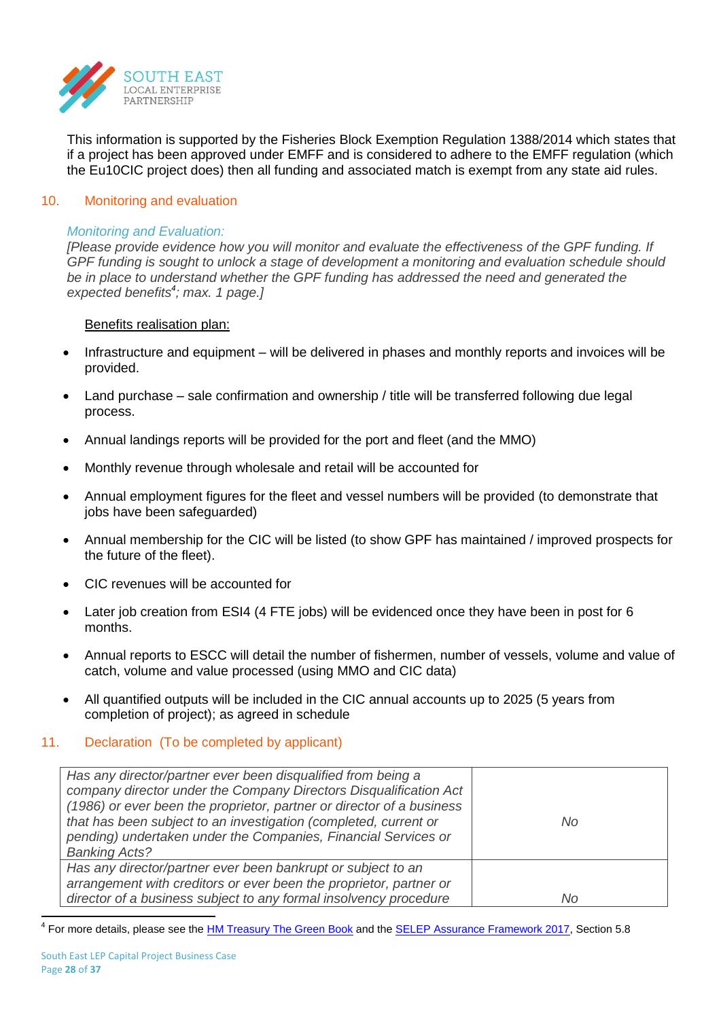

This information is supported by the Fisheries Block Exemption Regulation 1388/2014 which states that if a project has been approved under EMFF and is considered to adhere to the EMFF regulation (which the Eu10CIC project does) then all funding and associated match is exempt from any state aid rules.

#### 10. Monitoring and evaluation

#### *Monitoring and Evaluation:*

*[Please provide evidence how you will monitor and evaluate the effectiveness of the GPF funding. If GPF funding is sought to unlock a stage of development a monitoring and evaluation schedule should be in place to understand whether the GPF funding has addressed the need and generated the expected benefits<sup>4</sup> ; max. 1 page.]*

### Benefits realisation plan:

- Infrastructure and equipment will be delivered in phases and monthly reports and invoices will be provided.
- Land purchase sale confirmation and ownership / title will be transferred following due legal process.
- Annual landings reports will be provided for the port and fleet (and the MMO)
- Monthly revenue through wholesale and retail will be accounted for
- Annual employment figures for the fleet and vessel numbers will be provided (to demonstrate that jobs have been safeguarded)
- Annual membership for the CIC will be listed (to show GPF has maintained / improved prospects for the future of the fleet).
- CIC revenues will be accounted for
- Later job creation from ESI4 (4 FTE jobs) will be evidenced once they have been in post for 6 months.
- Annual reports to ESCC will detail the number of fishermen, number of vessels, volume and value of catch, volume and value processed (using MMO and CIC data)
- All quantified outputs will be included in the CIC annual accounts up to 2025 (5 years from completion of project); as agreed in schedule

#### 11. Declaration (To be completed by applicant)

| Has any director/partner ever been disqualified from being a<br>company director under the Company Directors Disqualification Act<br>(1986) or ever been the proprietor, partner or director of a business<br>that has been subject to an investigation (completed, current or<br>pending) undertaken under the Companies, Financial Services or<br><b>Banking Acts?</b> | No |
|--------------------------------------------------------------------------------------------------------------------------------------------------------------------------------------------------------------------------------------------------------------------------------------------------------------------------------------------------------------------------|----|
| Has any director/partner ever been bankrupt or subject to an<br>arrangement with creditors or ever been the proprietor, partner or<br>director of a business subject to any formal insolvency procedure                                                                                                                                                                  | No |

<u>.</u><br><sup>4</sup> For more details, please see the <u>HM Treasury The Green Book</u> and the <u>SELEP [Assurance Framework 2017,](http://www.southeastlep.com/images/uploads/resources/Assurance_Framework_2017_Final_Version.pdf)</u> Section 5.8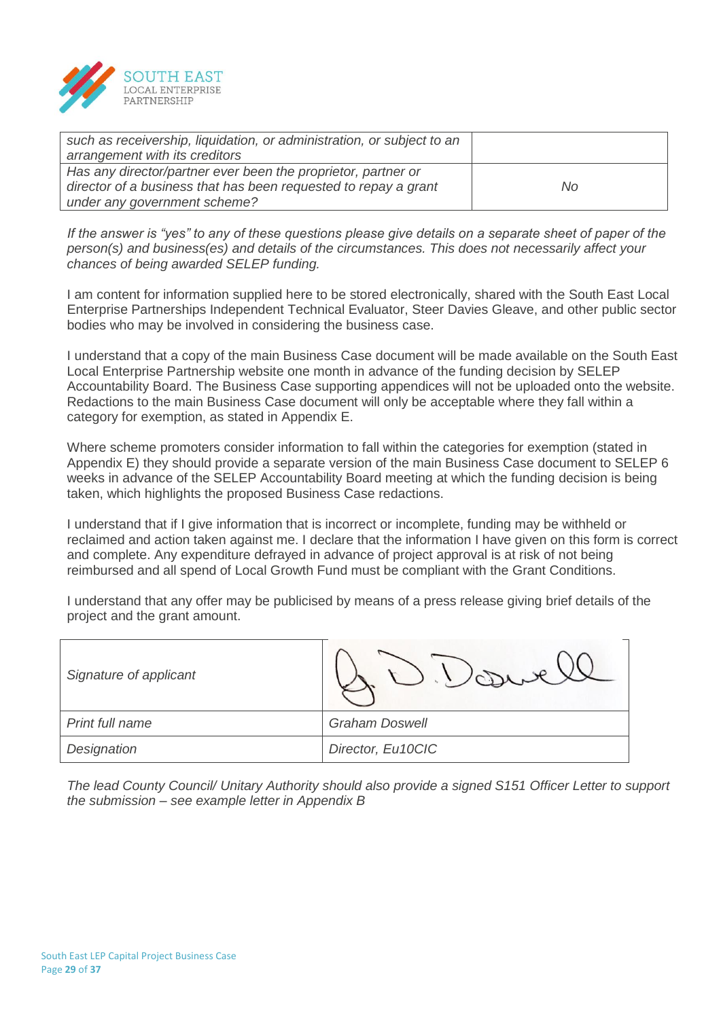

| such as receivership, liquidation, or administration, or subject to an |     |
|------------------------------------------------------------------------|-----|
| arrangement with its creditors                                         |     |
| Has any director/partner ever been the proprietor, partner or          |     |
| director of a business that has been requested to repay a grant        | No. |
| under any government scheme?                                           |     |

*If the answer is "yes" to any of these questions please give details on a separate sheet of paper of the person(s) and business(es) and details of the circumstances. This does not necessarily affect your chances of being awarded SELEP funding.*

I am content for information supplied here to be stored electronically, shared with the South East Local Enterprise Partnerships Independent Technical Evaluator, Steer Davies Gleave, and other public sector bodies who may be involved in considering the business case.

I understand that a copy of the main Business Case document will be made available on the South East Local Enterprise Partnership website one month in advance of the funding decision by SELEP Accountability Board. The Business Case supporting appendices will not be uploaded onto the website. Redactions to the main Business Case document will only be acceptable where they fall within a category for exemption, as stated in Appendix E.

Where scheme promoters consider information to fall within the categories for exemption (stated in Appendix E) they should provide a separate version of the main Business Case document to SELEP 6 weeks in advance of the SELEP Accountability Board meeting at which the funding decision is being taken, which highlights the proposed Business Case redactions.

I understand that if I give information that is incorrect or incomplete, funding may be withheld or reclaimed and action taken against me. I declare that the information I have given on this form is correct and complete. Any expenditure defrayed in advance of project approval is at risk of not being reimbursed and all spend of Local Growth Fund must be compliant with the Grant Conditions.

I understand that any offer may be publicised by means of a press release giving brief details of the project and the grant amount.

| Signature of applicant |                       |
|------------------------|-----------------------|
| Print full name        | <b>Graham Doswell</b> |
| Designation            | Director, Eu10CIC     |

*The lead County Council/ Unitary Authority should also provide a signed S151 Officer Letter to support the submission – see example letter in Appendix B*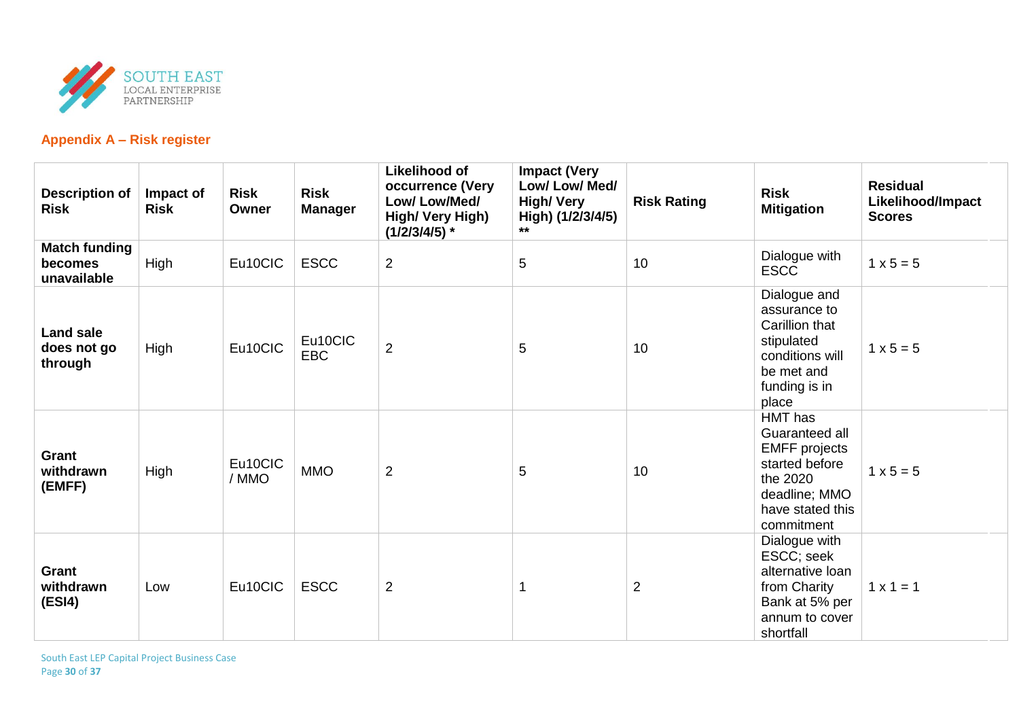

## **Appendix A – Risk register**

| <b>Description of</b><br><b>Risk</b>           | Impact of<br><b>Risk</b> | <b>Risk</b><br>Owner | <b>Risk</b><br><b>Manager</b> | <b>Likelihood of</b><br>occurrence (Very<br>Low/Low/Med/<br>High/ Very High)<br>$(1/2/3/4/5)$ * | <b>Impact (Very</b><br>Low/ Low/ Med/<br><b>High/ Very</b><br>High) (1/2/3/4/5)<br>$***$ | <b>Risk Rating</b> | <b>Risk</b><br><b>Mitigation</b>                                                                                                          | <b>Residual</b><br>Likelihood/Impact<br><b>Scores</b> |
|------------------------------------------------|--------------------------|----------------------|-------------------------------|-------------------------------------------------------------------------------------------------|------------------------------------------------------------------------------------------|--------------------|-------------------------------------------------------------------------------------------------------------------------------------------|-------------------------------------------------------|
| <b>Match funding</b><br>becomes<br>unavailable | High                     | Eu10CIC              | <b>ESCC</b>                   | $\overline{2}$                                                                                  | 5                                                                                        | 10                 | Dialogue with<br><b>ESCC</b>                                                                                                              | $1 \times 5 = 5$                                      |
| <b>Land sale</b><br>does not go<br>through     | High                     | Eu10CIC              | Eu10CIC<br><b>EBC</b>         | $\overline{2}$                                                                                  | 5                                                                                        | 10                 | Dialogue and<br>assurance to<br>Carillion that<br>stipulated<br>conditions will<br>be met and<br>funding is in<br>place                   | $1 \times 5 = 5$                                      |
| Grant<br>withdrawn<br>(EMFF)                   | High                     | Eu10CIC<br>/ MMO     | <b>MMO</b>                    | $\overline{2}$                                                                                  | 5                                                                                        | 10                 | <b>HMT</b> has<br>Guaranteed all<br><b>EMFF</b> projects<br>started before<br>the 2020<br>deadline; MMO<br>have stated this<br>commitment | $1 \times 5 = 5$                                      |
| Grant<br>withdrawn<br>(ESI4)                   | Low                      | Eu10CIC              | <b>ESCC</b>                   | $\overline{2}$                                                                                  | $\overline{\mathbf{1}}$                                                                  | $\overline{2}$     | Dialogue with<br>ESCC; seek<br>alternative loan<br>from Charity<br>Bank at 5% per<br>annum to cover<br>shortfall                          | $1 \times 1 = 1$                                      |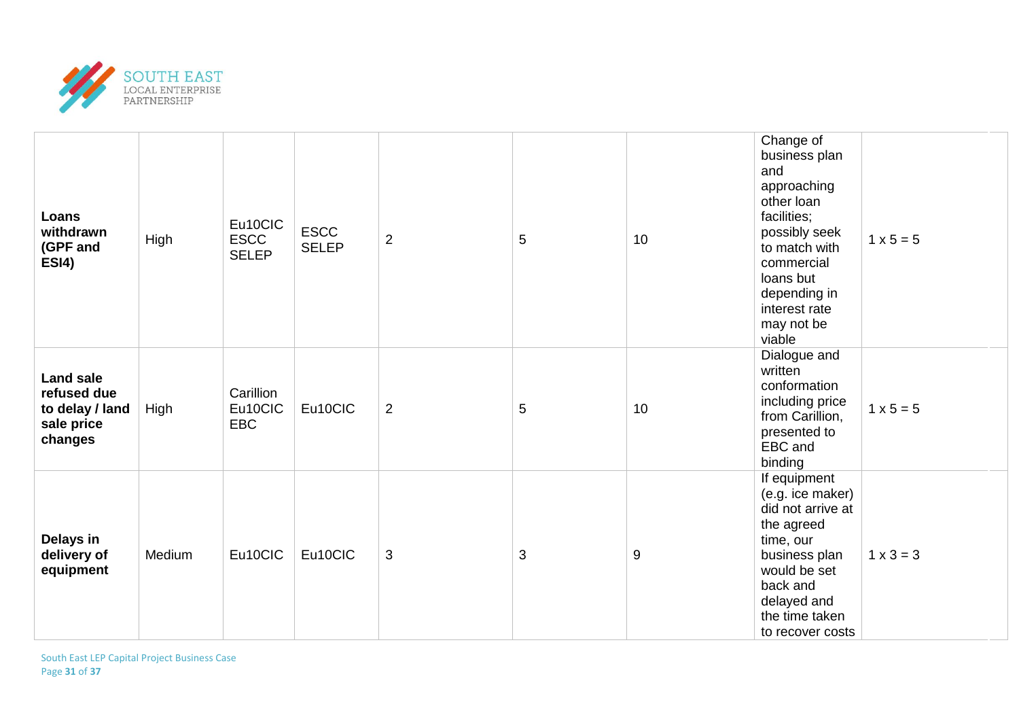

| Loans<br>withdrawn<br>(GPF and<br>ESI4)                                     | High   | Eu10CIC<br><b>ESCC</b><br><b>SELEP</b> | <b>ESCC</b><br><b>SELEP</b> | $\overline{2}$ | 5              | 10 | Change of<br>business plan<br>and<br>approaching<br>other loan<br>facilities;<br>possibly seek<br>to match with<br>commercial<br>loans but<br>depending in<br>interest rate<br>may not be<br>viable | $1 \times 5 = 5$ |
|-----------------------------------------------------------------------------|--------|----------------------------------------|-----------------------------|----------------|----------------|----|-----------------------------------------------------------------------------------------------------------------------------------------------------------------------------------------------------|------------------|
| <b>Land sale</b><br>refused due<br>to delay / land<br>sale price<br>changes | High   | Carillion<br>Eu10CIC<br>EBC            | Eu10CIC                     | $\overline{2}$ | $\overline{5}$ | 10 | Dialogue and<br>written<br>conformation<br>including price<br>from Carillion,<br>presented to<br>EBC and<br>binding                                                                                 | $1 \times 5 = 5$ |
| Delays in<br>delivery of<br>equipment                                       | Medium | Eu10CIC                                | Eu10CIC                     | 3              | 3              | 9  | If equipment<br>(e.g. ice maker)<br>did not arrive at<br>the agreed<br>time, our<br>business plan<br>would be set<br>back and<br>delayed and<br>the time taken<br>to recover costs                  | $1 \times 3 = 3$ |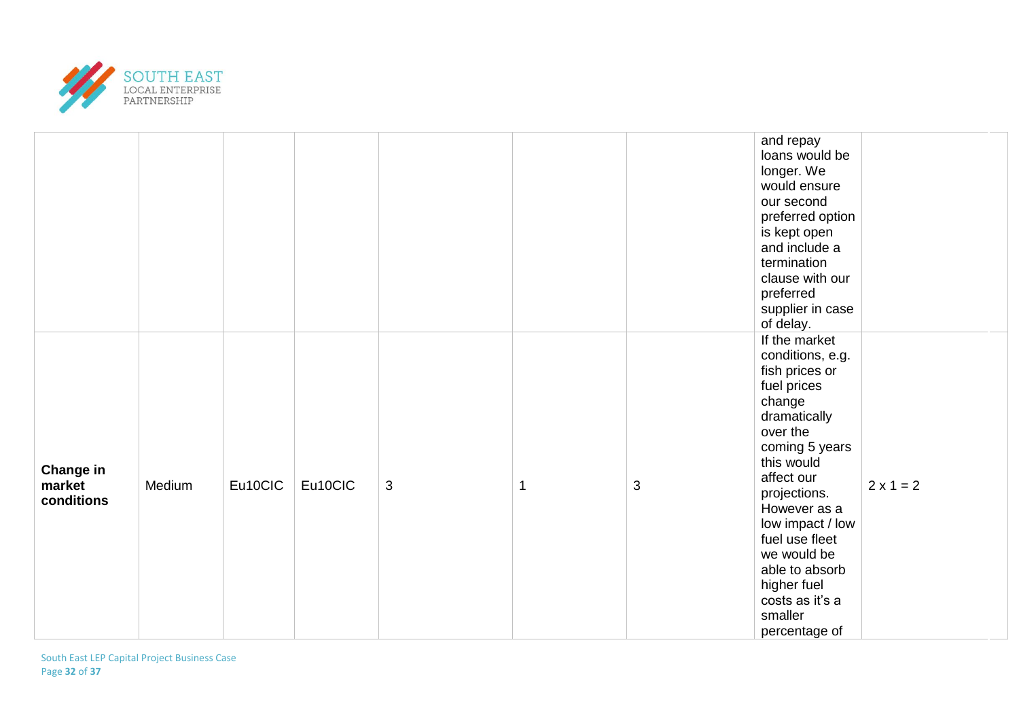

|                                   |        |         |         |   |             |   | and repay<br>loans would be<br>longer. We<br>would ensure<br>our second<br>preferred option<br>is kept open<br>and include a<br>termination<br>clause with our<br>preferred<br>supplier in case<br>of delay.                                                                                                                |                  |
|-----------------------------------|--------|---------|---------|---|-------------|---|-----------------------------------------------------------------------------------------------------------------------------------------------------------------------------------------------------------------------------------------------------------------------------------------------------------------------------|------------------|
| Change in<br>market<br>conditions | Medium | Eu10CIC | Eu10CIC | 3 | $\mathbf 1$ | 3 | If the market<br>conditions, e.g.<br>fish prices or<br>fuel prices<br>change<br>dramatically<br>over the<br>coming 5 years<br>this would<br>affect our<br>projections.<br>However as a<br>low impact / low<br>fuel use fleet<br>we would be<br>able to absorb<br>higher fuel<br>costs as it's a<br>smaller<br>percentage of | $2 \times 1 = 2$ |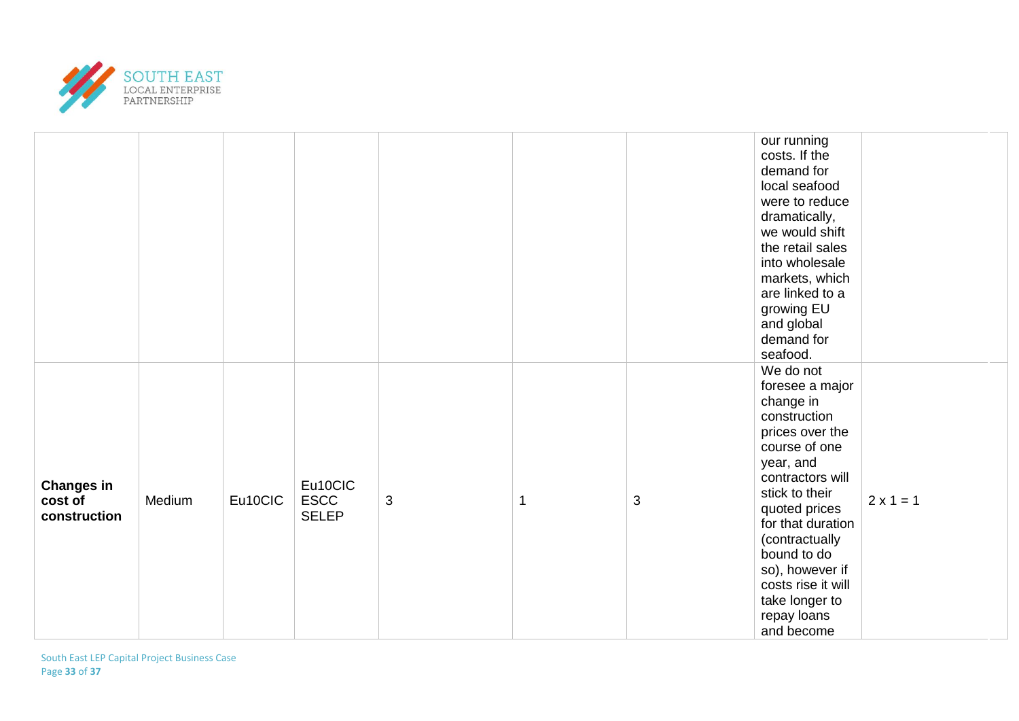

|                                              |        |         |                                        |   |   |   | our running<br>costs. If the<br>demand for<br>local seafood<br>were to reduce<br>dramatically,<br>we would shift<br>the retail sales<br>into wholesale<br>markets, which<br>are linked to a<br>growing EU<br>and global<br>demand for<br>seafood.                                                               |                  |
|----------------------------------------------|--------|---------|----------------------------------------|---|---|---|-----------------------------------------------------------------------------------------------------------------------------------------------------------------------------------------------------------------------------------------------------------------------------------------------------------------|------------------|
| <b>Changes in</b><br>cost of<br>construction | Medium | Eu10CIC | Eu10CIC<br><b>ESCC</b><br><b>SELEP</b> | 3 | 1 | 3 | We do not<br>foresee a major<br>change in<br>construction<br>prices over the<br>course of one<br>year, and<br>contractors will<br>stick to their<br>quoted prices<br>for that duration<br>(contractually<br>bound to do<br>so), however if<br>costs rise it will<br>take longer to<br>repay loans<br>and become | $2 \times 1 = 1$ |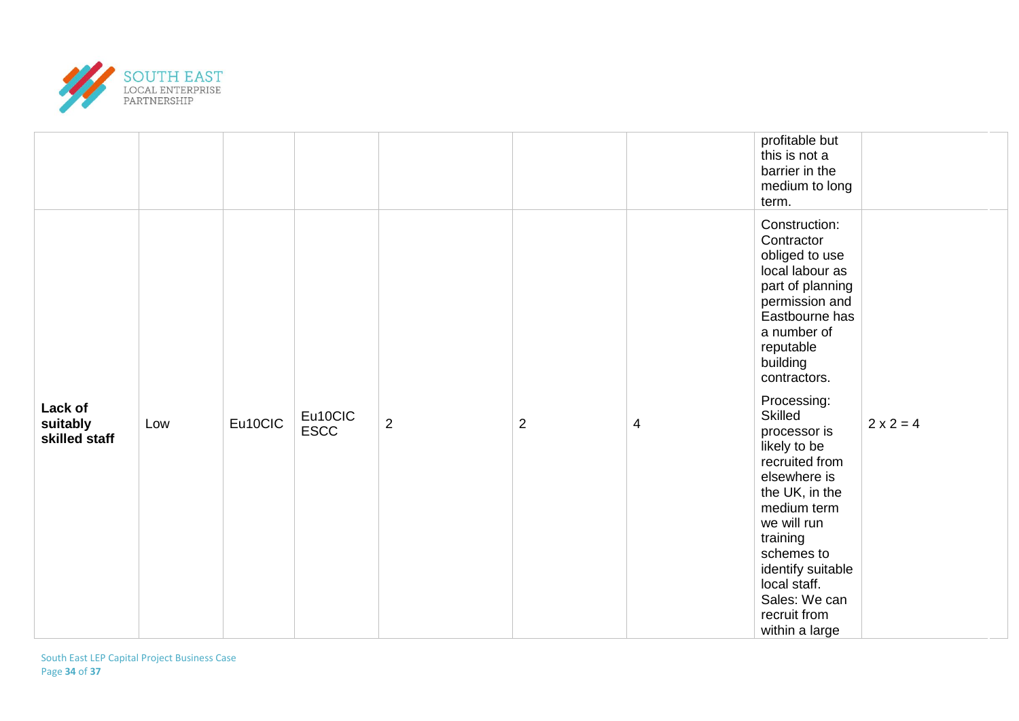

|                                      |     |                        |         |                |                |                | profitable but<br>this is not a<br>barrier in the<br>medium to long<br>term.                                                                                                                                                                               |                  |
|--------------------------------------|-----|------------------------|---------|----------------|----------------|----------------|------------------------------------------------------------------------------------------------------------------------------------------------------------------------------------------------------------------------------------------------------------|------------------|
| Lack of<br>suitably<br>skilled staff | Low | Eu10CIC<br><b>ESCC</b> |         | $\overline{2}$ | $\overline{2}$ | $\overline{4}$ | Construction:<br>Contractor<br>obliged to use<br>local labour as<br>part of planning<br>permission and<br>Eastbourne has<br>a number of<br>reputable<br>building<br>contractors.                                                                           |                  |
|                                      |     |                        | Eu10CIC |                |                |                | Processing:<br>Skilled<br>processor is<br>likely to be<br>recruited from<br>elsewhere is<br>the UK, in the<br>medium term<br>we will run<br>training<br>schemes to<br>identify suitable<br>local staff.<br>Sales: We can<br>recruit from<br>within a large | $2 \times 2 = 4$ |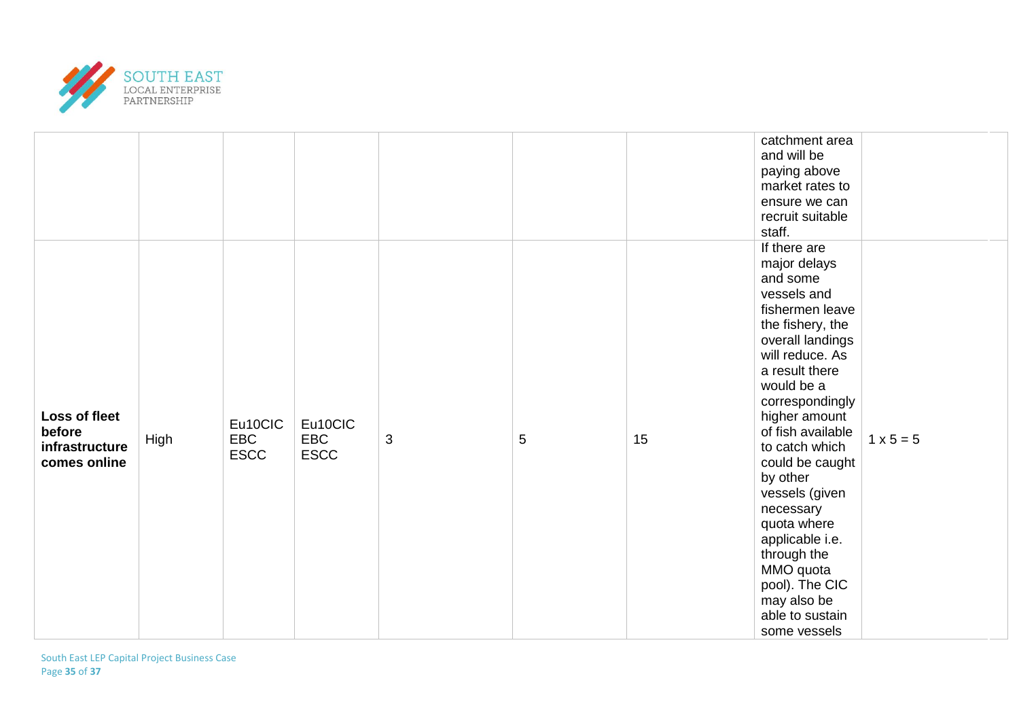

|                                                           |      |                               |                                      |   |            |    | catchment area<br>and will be<br>paying above<br>market rates to<br>ensure we can<br>recruit suitable<br>staff.                                                                                                                                                                                                                                                                                                                                  |                  |
|-----------------------------------------------------------|------|-------------------------------|--------------------------------------|---|------------|----|--------------------------------------------------------------------------------------------------------------------------------------------------------------------------------------------------------------------------------------------------------------------------------------------------------------------------------------------------------------------------------------------------------------------------------------------------|------------------|
| Loss of fleet<br>before<br>infrastructure<br>comes online | High | Eu10CIC<br>EBC<br><b>ESCC</b> | Eu10CIC<br><b>EBC</b><br><b>ESCC</b> | 3 | $\sqrt{5}$ | 15 | If there are<br>major delays<br>and some<br>vessels and<br>fishermen leave<br>the fishery, the<br>overall landings<br>will reduce. As<br>a result there<br>would be a<br>correspondingly<br>higher amount<br>of fish available<br>to catch which<br>could be caught<br>by other<br>vessels (given<br>necessary<br>quota where<br>applicable i.e.<br>through the<br>MMO quota<br>pool). The CIC<br>may also be<br>able to sustain<br>some vessels | $1 \times 5 = 5$ |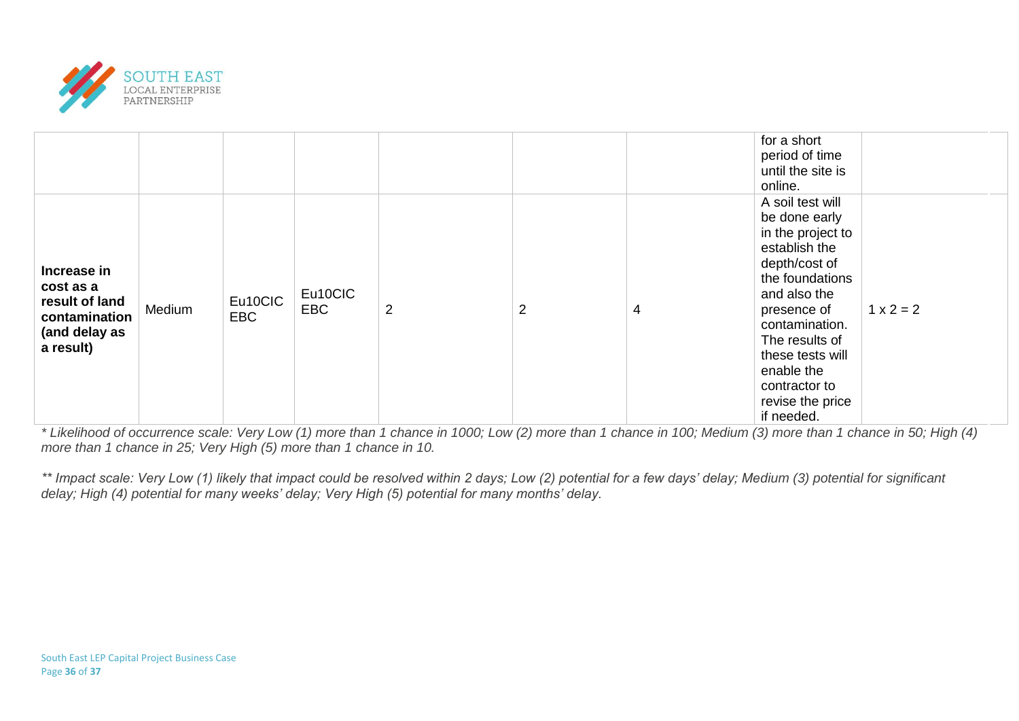

|                                                                                           |        |                       |                       |                |                |   | for a short<br>period of time<br>until the site is<br>online.                                                                                                                                                                                                       |             |
|-------------------------------------------------------------------------------------------|--------|-----------------------|-----------------------|----------------|----------------|---|---------------------------------------------------------------------------------------------------------------------------------------------------------------------------------------------------------------------------------------------------------------------|-------------|
| Increase in<br>cost as a<br>result of land<br>contamination<br>(and delay as<br>a result) | Medium | Eu10CIC<br><b>EBC</b> | Eu10CIC<br><b>EBC</b> | $\overline{2}$ | $\overline{2}$ | 4 | A soil test will<br>be done early<br>in the project to<br>establish the<br>depth/cost of<br>the foundations<br>and also the<br>presence of<br>contamination.<br>The results of<br>these tests will<br>enable the<br>contractor to<br>revise the price<br>if needed. | $1 x 2 = 2$ |

*\* Likelihood of occurrence scale: Very Low (1) more than 1 chance in 1000; Low (2) more than 1 chance in 100; Medium (3) more than 1 chance in 50; High (4) more than 1 chance in 25; Very High (5) more than 1 chance in 10.*

*\*\* Impact scale: Very Low (1) likely that impact could be resolved within 2 days; Low (2) potential for a few days' delay; Medium (3) potential for significant delay; High (4) potential for many weeks' delay; Very High (5) potential for many months' delay.*